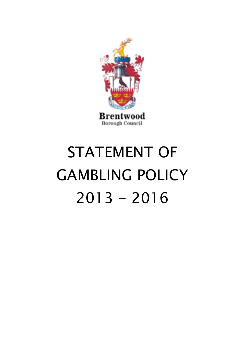

# STATEMENT OF GAMBLING POLICY  $2013 - 2016$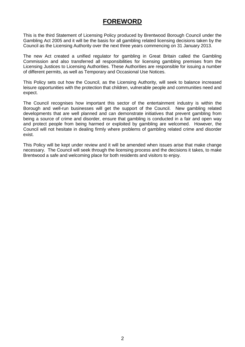## **FOREWORD**

This is the third Statement of Licensing Policy produced by Brentwood Borough Council under the Gambling Act 2005 and it will be the basis for all gambling related licensing decisions taken by the Council as the Licensing Authority over the next three years commencing on 31 January 2013.

The new Act created a unified regulator for gambling in Great Britain called the Gambling Commission and also transferred all responsibilities for licensing gambling premises from the Licensing Justices to Licensing Authorities. These Authorities are responsible for issuing a number of different permits, as well as Temporary and Occasional Use Notices.

This Policy sets out how the Council, as the Licensing Authority, will seek to balance increased leisure opportunities with the protection that children, vulnerable people and communities need and expect.

The Council recognises how important this sector of the entertainment industry is within the Borough and well-run businesses will get the support of the Council. New gambling related developments that are well planned and can demonstrate initiatives that prevent gambling from being a source of crime and disorder, ensure that gambling is conducted in a fair and open way and protect people from being harmed or exploited by gambling are welcomed. However, the Council will not hesitate in dealing firmly where problems of gambling related crime and disorder exist.

This Policy will be kept under review and it will be amended when issues arise that make change necessary. The Council will seek through the licensing process and the decisions it takes, to make Brentwood a safe and welcoming place for both residents and visitors to enjoy.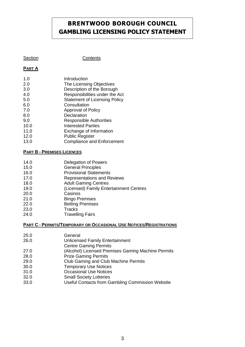## **BRENTWOOD BOROUGH COUNCIL GAMBLING LICENSING POLICY STATEMENT**

#### Section **Contents**

#### **PART A**

- 1.0 Introduction<br>2.0 The Licensin
- The Licensing Objectives
- 3.0 Description of the Borough<br>4.0 Responsibilities under the *F*
- Responsibilities under the Act
- 5.0 Statement of Licensing Policy
- 6.0 Consultation
- 7.0 Approval of Policy
- 8.0 Declaration
- 9.0 Responsible Authorities
- 10.0 Interested Parties
- 11.0 Exchange of Information
- 12.0 Public Register
- 13.0 Compliance and Enforcement

#### **PART B - PREMISES LICENCES**

- 14.0 Delegation of Powers<br>15.0 **General Principles**
- General Principles
- 16.0 Provisional Statements<br>17.0 Representations and Re
- Representations and Reviews
- 18.0 Adult Gaming Centres
- 19.0 (Licensed) Family Entertainment Centres
- 20.0 Casinos
- 21.0 Bingo Premises
- 22.0 Betting Premises
- 23.0 Tracks<br>24.0 Travelli
- **Travelling Fairs**

#### **PART C - PERMITS/TEMPORARY OR OCCASIONAL USE NOTICES/REGISTRATIONS**

- 25.0 General
- 26.0 Unlicensed Family Entertainment
- Centre Gaming Permits
- 27.0 (Alcohol) Licensed Premises Gaming Machine Permits
- 28.0 Prize Gaming Permits
- 29.0 Club Gaming and Club Machine Permits
- 30.0 Temporary Use Notices
- 31.0 Occasional Use Notices
- 32.0 Small Society Lotteries
- 33.0 Useful Contacts from Gambling Commission Website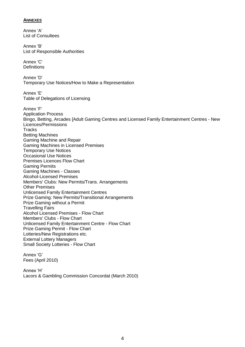#### **ANNEXES**

Annex 'A' List of Consultees Annex 'B' List of Responsible Authorities Annex 'C' **Definitions** Annex 'D' Temporary Use Notices/How to Make a Representation Annex 'E' Table of Delegations of Licensing Annex 'F' Application Process Bingo, Betting, Arcades [Adult Gaming Centres and Licensed Family Entertainment Centres - New Licences/Permissions **Tracks** Betting Machines Gaming Machine and Repair Gaming Machines in Licensed Premises Temporary Use Notices Occasional Use Notices Premises Licences Flow Chart Gaming Permits Gaming Machines - Classes Alcohol-Licensed Premises Members' Clubs: New Permits/Trans. Arrangements Other Premises Unlicensed Family Entertainment Centres Prize Gaming: New Permits/Transitional Arrangements Prize Gaming without a Permit Travelling Fairs Alcohol Licensed Premises - Flow Chart Members' Clubs - Flow Chart Unlicensed Family Entertainment Centre - Flow Chart Prize Gaming Permit - Flow Chart Lotteries/New Registrations etc. External Lottery Managers Small Society Lotteries - Flow Chart

Annex 'G' Fees (April 2010)

Annex "H" Lacors & Gambling Commission Concordat (March 2010)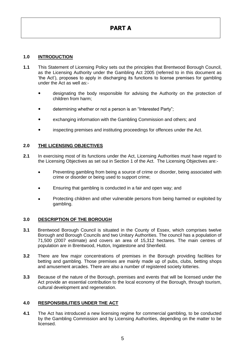#### **1.0 INTRODUCTION**

- **1.1** This Statement of Licensing Policy sets out the principles that Brentwood Borough Council, as the Licensing Authority under the Gambling Act 2005 (referred to in this document as "the Act"), proposes to apply in discharging its functions to license premises for gambling under the Act as well as:
	- designating the body responsible for advising the Authority on the protection of children from harm;
	- determining whether or not a person is an "Interested Party";
	- exchanging information with the Gambling Commission and others; and
	- inspecting premises and instituting proceedings for offences under the Act.

#### **2.0 THE LICENSING OBJECTIVES**

- **2.1** In exercising most of its functions under the Act, Licensing Authorities must have regard to the Licensing Objectives as set out in Section 1 of the Act. The Licensing Objectives are:-
	- Preventing gambling from being a source of crime or disorder, being associated with crime or disorder or being used to support crime;
	- Ensuring that gambling is conducted in a fair and open way; and
	- Protecting children and other vulnerable persons from being harmed or exploited by gambling.

#### **3.0 DESCRIPTION OF THE BOROUGH**

- **3.1** Brentwood Borough Council is situated in the County of Essex, which comprises twelve Borough and Borough Councils and two Unitary Authorities. The council has a population of 71,500 (2007 estimate) and covers an area of 15,312 hectares. The main centres of population are in Brentwood, Hutton, Ingatestone and Shenfield.
- **3.2** There are few major concentrations of premises in the Borough providing facilities for betting and gambling. Those premises are mainly made up of pubs, clubs, betting shops and amusement arcades. There are also a number of registered society lotteries.
- **3.3** Because of the nature of the Borough, premises and events that will be licensed under the Act provide an essential contribution to the local economy of the Borough, through tourism, cultural development and regeneration.

#### **4.0 RESPONSIBILITIES UNDER THE ACT**

**4.1** The Act has introduced a new licensing regime for commercial gambling, to be conducted by the Gambling Commission and by Licensing Authorities, depending on the matter to be licensed.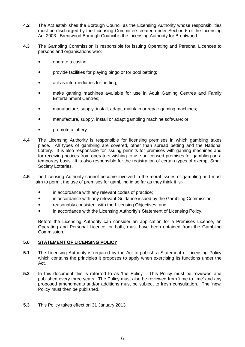- **4.2** The Act establishes the Borough Council as the Licensing Authority whose responsibilities must be discharged by the Licensing Committee created under Section 6 of the Licensing Act 2003. Brentwood Borough Council is the Licensing Authority for Brentwood.
- **4.3** The Gambling Commission is responsible for issuing Operating and Personal Licences to persons and organisations who:
	- operate a casino;
	- provide facilities for playing bingo or for pool betting;
	- act as intermediaries for betting;
	- make gaming machines available for use in Adult Gaming Centres and Family Entertainment Centres;
	- manufacture, supply, install, adapt, maintain or repair gaming machines;
	- manufacture, supply, install or adapt gambling machine software; or
	- promote a lottery.
- **4.4** The Licensing Authority is responsible for licensing premises in which gambling takes place. All types of gambling are covered, other than spread betting and the National Lottery. It is also responsible for issuing permits for premises with gaming machines and for receiving notices from operators wishing to use unlicensed premises for gambling on a temporary basis. It is also responsible for the registration of certain types of exempt Small Society Lotteries.
- **4.5** The Licensing Authority cannot become involved in the moral issues of gambling and must aim to permit the use of premises for gambling in so far as they think it is:
	- in accordance with any relevant codes of practice;
	- in accordance with any relevant Guidance issued by the Gambling Commission;
	- reasonably consistent with the Licensing Objectives, and
	- in accordance with the Licensing Authority"s Statement of Licensing Policy.

Before the Licensing Authority can consider an application for a Premises Licence, an Operating and Personal Licence, or both, must have been obtained from the Gambling Commission.

#### **5.0 STATEMENT OF LICENSING POLICY**

- **5.1** The Licensing Authority is required by the Act to publish a Statement of Licensing Policy which contains the principles it proposes to apply when exercising its functions under the Act.
- **5.2** In this document this is referred to as "the Policy". This Policy must be reviewed and published every three years. The Policy must also be reviewed from 'time to time' and any proposed amendments and/or additions must be subject to fresh consultation. The "new" Policy must then be published.
- **5.3** This Policy takes effect on 31 January 2013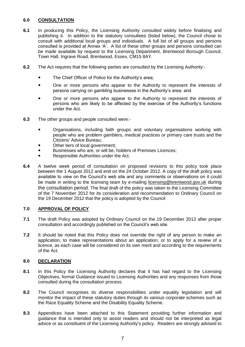#### **6.0 CONSULTATION**

- **6.1** In producing this Policy, the Licensing Authority consulted widely before finalising and publishing it. In addition to the statutory consultees (listed below), the Council chose to consult with additional local groups and individuals. A full list of all groups and persons consulted is provided at Annex 'A'. A list of these other groups and persons consulted can be made available by request to the Licensing Department, Brentwood Borough Council, Town Hall, Ingrave Road, Brentwood, Essex, CM15 8AY.
- **6.2** The Act requires that the following parties are consulted by the Licensing Authority:-
	- The Chief Officer of Police for the Authority's area;
	- One or more persons who appear to the Authority to represent the interests of persons carrying on gambling businesses in the Authority"s area; and
	- One or more persons who appear to the Authority to represent the interests of persons who are likely to be affected by the exercise of the Authority"s functions under the Act.
- **6.3** The other groups and people consulted were:-
	- Organisations, including faith groups and voluntary organisations working with people who are problem gamblers, medical practices or primary care trusts and the Citizens' Advice Bureau;
	- Other tiers of local government;
	- Businesses who are, or will be, holders of Premises Licences;
	- Responsible Authorities under the Act.
- **6.4** A twelve week period of consultation on proposed revisions to this policy took place between the 1 August 2012 and end on the 24 October 2012. A copy of the draft policy was available to view on the Council"s web site and any comments or observations on it could be made in writing to the licensing team by e-mailing [licensing@brentwood.gov.uk](mailto:licensing@brentwood.gov.uk) during the consultation period. The final draft of the policy was taken to the Licensing Committee of the 7 November 2012 for its consideration and recommendation to Ordinary Council on the 19 December 2012 that the policy is adopted by the Council

#### **7.0 APPROVAL OF POLICY**

- **7.1** The draft Policy was adopted by Ordinary Council on the 19 December 2012 after proper consultation and accordingly published on the Council"s web site.
- **7.2** It should be noted that this Policy does not override the right of any person to make an application, to make representations about an application, or to apply for a review of a licence, as each case will be considered on its own merit and according to the requirements of the Act.

#### **8.0 DECLARATION**

- **8.1** In this Policy the Licensing Authority declares that it has had regard to the Licensing Objectives, formal Guidance issued to Licensing Authorities and any responses from those consulted during the consultation process.
- **8.2** The Council recognises its diverse responsibilities under equality legislation and will monitor the impact of these statutory duties through its various corporate schemes such as the Race Equality Scheme and the Disability Equality Scheme.
- **8.3** Appendices have been attached to this Statement providing further information and guidance that is intended only to assist readers and should not be interpreted as legal advice or as constituent of the Licensing Authority's policy. Readers are strongly advised to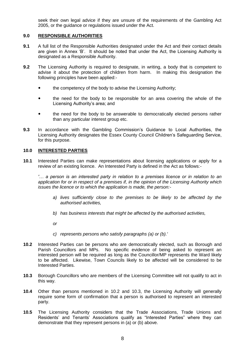seek their own legal advice if they are unsure of the requirements of the Gambling Act 2005, or the guidance or regulations issued under the Act.

#### **9.0 RESPONSIBLE AUTHORITIES**

- **9.1** A full list of the Responsible Authorities designated under the Act and their contact details are given in Annex 'B'. It should be noted that under the Act, the Licensing Authority is designated as a Responsible Authority.
- **9.2** The Licensing Authority is required to designate, in writing, a body that is competent to advise it about the protection of children from harm. In making this designation the following principles have been applied:
	- the competency of the body to advise the Licensing Authority;
	- the need for the body to be responsible for an area covering the whole of the Licensing Authority's area; and
	- the need for the body to be answerable to democratically elected persons rather than any particular interest group etc.
- **9.3** In accordance with the Gambling Commission"s Guidance to Local Authorities, the Licensing Authority designates the Essex County Council Children"s Safeguarding Service, for this purpose.

#### **10.0 INTERESTED PARTIES**

**10.1** Interested Parties can make representations about licensing applications or apply for a review of an existing licence. An Interested Party is defined in the Act as follows:-

*'… a person is an interested party in relation to a premises licence or in relation to an application for or in respect of a premises if, in the opinion of the Licensing Authority which issues the licence or to which the application is made, the person:-*

- *a) lives sufficiently close to the premises to be likely to be affected by the authorised activities,*
- *b) has business interests that might be affected by the authorised activities,*
- *or*
- *c) represents persons who satisfy paragraphs (a) or (b).'*
- **10.2** Interested Parties can be persons who are democratically elected, such as Borough and Parish Councillors and MPs. No specific evidence of being asked to represent an interested person will be required as long as the Councillor/MP represents the Ward likely to be affected. Likewise, Town Councils likely to be affected will be considered to be Interested Parties.
- **10.3** Borough Councillors who are members of the Licensing Committee will not qualify to act in this way.
- **10.4** Other than persons mentioned in 10.2 and 10.3, the Licensing Authority will generally require some form of confirmation that a person is authorised to represent an interested party.
- **10.5** The Licensing Authority considers that the Trade Associations, Trade Unions and Residents' and Tenants' Associations qualify as "Interested Parties" where they can demonstrate that they represent persons in (a) or (b) above.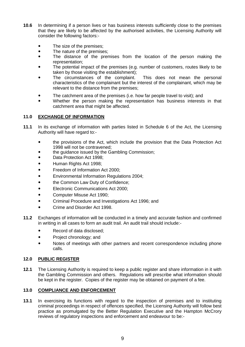- **10.6** In determining if a person lives or has business interests sufficiently close to the premises that they are likely to be affected by the authorised activities, the Licensing Authority will consider the following factors:-
	- The size of the premises;
	- The nature of the premises;
	- The distance of the premises from the location of the person making the representation;
	- The potential impact of the premises (e.g. number of customers, routes likely to be taken by those visiting the establishment);
	- The circumstances of the complaint. This does not mean the personal characteristics of the complainant but the interest of the complainant, which may be relevant to the distance from the premises;
	- The catchment area of the premises (i.e. how far people travel to visit); and
	- Whether the person making the representation has business interests in that catchment area that might be affected.

#### **11.0 EXCHANGE OF INFORMATION**

- **11.1** In its exchange of information with parties listed in Schedule 6 of the Act, the Licensing Authority will have regard to:
	- the provisions of the Act, which include the provision that the Data Protection Act 1998 will not be contravened;
	- the guidance issued by the Gambling Commission;
	- Data Protection Act 1998;
	- Human Rights Act 1998;
	- Freedom of Information Act 2000:
	- Environmental Information Regulations 2004;
	- the Common Law Duty of Confidence;
	- Electronic Communications Act 2000;
	- Computer Misuse Act 1990;
	- Criminal Procedure and Investigations Act 1996; and
	- Crime and Disorder Act 1998.
- **11.2** Exchanges of information will be conducted in a timely and accurate fashion and confirmed in writing in all cases to form an audit trail. An audit trail should include:-
	- Record of data disclosed;
	- Project chronology; and
	- Notes of meetings with other partners and recent correspondence including phone calls.

#### **12.0 PUBLIC REGISTER**

**12.1** The Licensing Authority is required to keep a public register and share information in it with the Gambling Commission and others. Regulations will prescribe what information should be kept in the register. Copies of the register may be obtained on payment of a fee.

#### **13.0 COMPLIANCE AND ENFORCEMENT**

**13.1** In exercising its functions with regard to the inspection of premises and to instituting criminal proceedings in respect of offences specified, the Licensing Authority will follow best practice as promulgated by the Better Regulation Executive and the Hampton McCrory reviews of regulatory inspections and enforcement and endeavour to be:-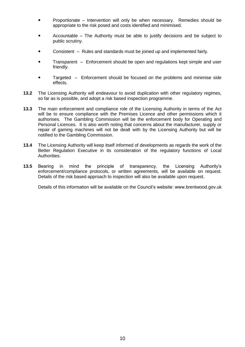- Proportionate Intervention will only be when necessary. Remedies should be appropriate to the risk posed and costs identified and minimised.
- Accountable The Authority must be able to justify decisions and be subject to public scrutiny.
- Consistent Rules and standards must be joined up and implemented fairly.
- Transparent Enforcement should be open and regulations kept simple and user friendly.
- Targeted Enforcement should be focused on the problems and minimise side effects.
- **13.2** The Licensing Authority will endeavour to avoid duplication with other regulatory regimes, so far as is possible, and adopt a risk based inspection programme.
- **13.3** The main enforcement and compliance role of the Licensing Authority in terms of the Act will be to ensure compliance with the Premises Licence and other permissions which it authorises. The Gambling Commission will be the enforcement body for Operating and Personal Licences. It is also worth noting that concerns about the manufacturer, supply or repair of gaming machines will not be dealt with by the Licensing Authority but will be notified to the Gambling Commission.
- **13.4** The Licensing Authority will keep itself informed of developments as regards the work of the Better Regulation Executive in its consideration of the regulatory functions of Local Authorities.
- **13.5** Bearing in mind the principle of transparency, the Licensing Authority"s enforcement/compliance protocols, or written agreements, will be available on request. Details of the risk based approach to inspection will also be available upon request.

Details of this information will be available on the Council's website: www.brentwood.gov.uk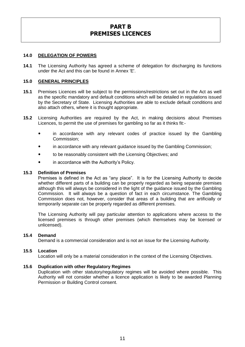## **PART B PREMISES LICENCES**

#### **14.0 DELEGATION OF POWERS**

**14.1** The Licensing Authority has agreed a scheme of delegation for discharging its functions under the Act and this can be found in Annex 'E'.

#### **15.0 GENERAL PRINCIPLES**

- **15.1** Premises Licences will be subject to the permissions/restrictions set out in the Act as well as the specific mandatory and default conditions which will be detailed in regulations issued by the Secretary of State. Licensing Authorities are able to exclude default conditions and also attach others, where it is thought appropriate.
- **15.2** Licensing Authorities are required by the Act, in making decisions about Premises Licences, to permit the use of premises for gambling so far as it thinks fit:-
	- in accordance with any relevant codes of practice issued by the Gambling Commission;
	- in accordance with any relevant guidance issued by the Gambling Commission;
	- to be reasonably consistent with the Licensing Objectives; and
	- in accordance with the Authority's Policy.

#### **15.3 Definition of Premises**

Premises is defined in the Act as "any place". It is for the Licensing Authority to decide whether different parts of a building can be properly regarded as being separate premises although this will always be considered in the light of the guidance issued by the Gambling Commission. It will always be a question of fact in each circumstance. The Gambling Commission does not, however, consider that areas of a building that are artificially or temporarily separate can be properly regarded as different premises.

The Licensing Authority will pay particular attention to applications where access to the licensed premises is through other premises (which themselves may be licensed or unlicensed).

#### **15.4 Demand**

Demand is a commercial consideration and is not an issue for the Licensing Authority.

#### **15.5 Location**

Location will only be a material consideration in the context of the Licensing Objectives.

#### **15.6 Duplication with other Regulatory Regimes**

Duplication with other statutory/regulatory regimes will be avoided where possible. This Authority will not consider whether a licence application is likely to be awarded Planning Permission or Building Control consent.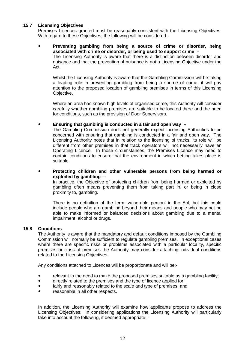#### **15.7 Licensing Objectives**

Premises Licences granted must be reasonably consistent with the Licensing Objectives. With regard to these Objectives, the following will be considered:-

#### **Preventing gambling from being a source of crime or disorder, being associated with crime or disorder, or being used to support crime –** The Licensing Authority is aware that there is a distinction between disorder and

nuisance and that the prevention of nuisance is not a Licensing Objective under the Act.

Whilst the Licensing Authority is aware that the Gambling Commission will be taking a leading role in preventing gambling from being a source of crime, it will pay attention to the proposed location of gambling premises in terms of this Licensing Objective.

Where an area has known high levels of organised crime, this Authority will consider carefully whether gambling premises are suitable to be located there and the need for conditions, such as the provision of Door Supervisors.

#### **Ensuring that gambling is conducted in a fair and open way –**

The Gambling Commission does not generally expect Licensing Authorities to be concerned with ensuring that gambling is conducted in a fair and open way. The Licensing Authority notes that in relation to the licensing of tracks, its role will be different from other premises in that track operators will not necessarily have an Operating Licence. In those circumstances, the Premises Licence may need to contain conditions to ensure that the environment in which betting takes place is suitable.

 **Protecting children and other vulnerable persons from being harmed or exploited by gambling –**

In practice, the Objective of protecting children from being harmed or exploited by gambling often means preventing them from taking part in, or being in close proximity to, gambling.

There is no definition of the term 'vulnerable person' in the Act, but this could include people who are gambling beyond their means and people who may not be able to make informed or balanced decisions about gambling due to a mental impairment, alcohol or drugs.

#### **15.8 Conditions**

The Authority is aware that the mandatory and default conditions imposed by the Gambling Commission will normally be sufficient to regulate gambling premises. In exceptional cases where there are specific risks or problems associated with a particular locality, specific premises or class of premises the Authority may consider attaching individual conditions related to the Licensing Objectives.

Any conditions attached to Licences will be proportionate and will be:-

- relevant to the need to make the proposed premises suitable as a gambling facility;
- directly related to the premises and the type of licence applied for;
- fairly and reasonably related to the scale and type of premises; and
- reasonable in all other respects.

In addition, the Licensing Authority will examine how applicants propose to address the Licensing Objectives. In considering applications the Licensing Authority will particularly take into account the following, if deemed appropriate:-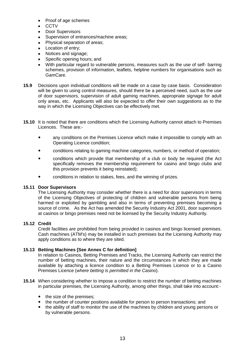- Proof of age schemes
- **CCTV**
- Door Supervisors
- Supervision of entrances/machine areas;
- Physical separation of areas;
- Location of entry;
- Notices and signage;
- Specific opening hours; and
- With particular regard to vulnerable persons, measures such as the use of self- barring schemes, provision of information, leaflets, helpline numbers for organisations such as GamCare.
- **15.9** Decisions upon individual conditions will be made on a case by case basis. Consideration will be given to using control measures, should there be a perceived need, such as the use of door supervisors, supervision of adult gaming machines, appropriate signage for adult only areas, etc. Applicants will also be expected to offer their own suggestions as to the way in which the Licensing Objectives can be effectively met.
- **15.10** It is noted that there are conditions which the Licensing Authority cannot attach to Premises Licences. These are:
	- any conditions on the Premises Licence which make it impossible to comply with an Operating Licence condition;
	- conditions relating to gaming machine categories, numbers, or method of operation;
	- conditions which provide that membership of a club or body be required (the Act specifically removes the membership requirement for casino and bingo clubs and this provision prevents it being reinstated);
	- conditions in relation to stakes, fees, and the winning of prizes.

#### **15.11 Door Supervisors**

The Licensing Authority may consider whether there is a need for door supervisors in terms of the Licensing Objectives of protecting of children and vulnerable persons from being harmed or exploited by gambling and also in terms of preventing premises becoming a source of crime. As the Act has amended the Security Industry Act 2001, door supervisors at casinos or bingo premises need not be licensed by the Security Industry Authority.

#### **15.12 Credit**

Credit facilities are prohibited from being provided in casinos and bingo licensed premises. Cash machines (ATM's) may be installed in such premises but the Licensing Authority may apply conditions as to where they are sited.

#### **15.13 Betting Machines [See Annex C for definition]**

In relation to Casinos, Betting Premises and Tracks, the Licensing Authority can restrict the number of betting machines, their nature and the circumstances in which they are made available by attaching a licence condition to a Betting Premises Licence or to a Casino Premises Licence (*where betting is permitted in the Casino*).

- **15.14** When considering whether to impose a condition to restrict the number of betting machines in particular premises, the Licensing Authority, among other things, shall take into account:-
	- the size of the premises;
	- the number of counter positions available for person to person transactions; and
	- the ability of staff to monitor the use of the machines by children and young persons or by vulnerable persons.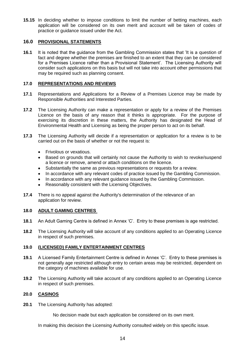**15.15** In deciding whether to impose conditions to limit the number of betting machines, each application will be considered on its own merit and account will be taken of codes of practice or guidance issued under the Act.

#### **16.0 PROVISIONAL STATEMENTS**

**16.1** It is noted that the guidance from the Gambling Commission states that "It is a question of fact and degree whether the premises are finished to an extent that they can be considered for a Premises Licence rather than a Provisional Statement'. The Licensing Authority will consider such applications on this basis but will not take into account other permissions that may be required such as planning consent.

#### **17.0 REPRESENTATIONS AND REVIEWS**

- **17.1** Representations and Applications for a Review of a Premises Licence may be made by Responsible Authorities and Interested Parties.
- **17.2** The Licensing Authority can make a representation or apply for a review of the Premises Licence on the basis of any reason that it thinks is appropriate. For the purpose of exercising its discretion in these matters, the Authority has designated the Head of Environmental Health and Licensing as being the proper person to act on its behalf.
- **17.3** The Licensing Authority will decide if a representation or application for a review is to be carried out on the basis of whether or not the request is:
	- $\bullet$ Frivolous or vexatious.
	- Based on grounds that will certainly not cause the Authority to wish to revoke/suspend a licence or remove, amend or attach conditions on the licence.
	- Substantially the same as previous representations or requests for a review.  $\bullet$
	- In accordance with any relevant codes of practice issued by the Gambling Commission.
	- In accordance with any relevant guidance issued by the Gambling Commission.
	- Reasonably consistent with the Licensing Objectives.
- **17.4** There is no appeal against the Authority's determination of the relevance of an application for review.

#### **18.0 ADULT GAMING CENTRES**

- **18.1** An Adult Gaming Centre is defined in Annex "C". Entry to these premises is age restricted.
- **18.2** The Licensing Authority will take account of any conditions applied to an Operating Licence in respect of such premises.

#### **19.0 (LICENSED) FAMILY ENTERTAINMENT CENTRES**

- **19.1** A Licensed Family Entertainment Centre is defined in Annex "C". Entry to these premises is not generally age restricted although entry to certain areas may be restricted, dependent on the category of machines available for use.
- **19.2** The Licensing Authority will take account of any conditions applied to an Operating Licence in respect of such premises.

#### **20.0 CASINOS**

**20.1** The Licensing Authority has adopted:

No decision made but each application be considered on its own merit.

In making this decision the Licensing Authority consulted widely on this specific issue.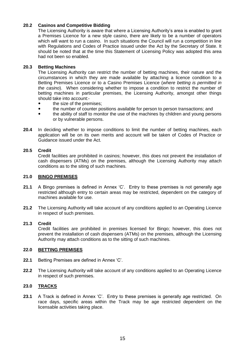#### **20.2 Casinos and Competitive Bidding**

The Licensing Authority is aware that where a Licensing Authority"s area is enabled to grant a Premises Licence for a new style casino, there are likely to be a number of operators which will want to run a casino. In such situations the Council will run a competition in line with Regulations and Codes of Practice issued under the Act by the Secretary of State. It should be noted that at the time this Statement of Licensing Policy was adopted this area had not been so enabled.

#### **20.3 Betting Machines**

The Licensing Authority can restrict the number of betting machines, their nature and the circumstances in which they are made available by attaching a licence condition to a Betting Premises Licence or to a Casino Premises Licence (*where betting is permitted in the casino*). When considering whether to impose a condition to restrict the number of betting machines in particular premises, the Licensing Authority, amongst other things should take into account:-

- the size of the premises;
- the number of counter positions available for person to person transactions; and
- the ability of staff to monitor the use of the machines by children and young persons or by vulnerable persons.
- **20.4** In deciding whether to impose conditions to limit the number of betting machines, each application will be on its own merits and account will be taken of Codes of Practice or Guidance issued under the Act.

#### **20.5 Credit**

Credit facilities are prohibited in casinos; however, this does not prevent the installation of cash dispensers (ATMs) on the premises, although the Licensing Authority may attach conditions as to the siting of such machines.

#### **21.0 BINGO PREMISES**

- 21.1 A Bingo premises is defined in Annex 'C'. Entry to these premises is not generally age restricted although entry to certain areas may be restricted, dependent on the category of machines available for use.
- **21.2** The Licensing Authority will take account of any conditions applied to an Operating Licence in respect of such premises.

#### **21.3 Credit**

Credit facilities are prohibited in premises licensed for Bingo; however, this does not prevent the installation of cash dispensers (ATMs) on the premises, although the Licensing Authority may attach conditions as to the sitting of such machines.

#### **22.0 BETTING PREMISES**

- **22.1** Betting Premises are defined in Annex "C".
- **22.2** The Licensing Authority will take account of any conditions applied to an Operating Licence in respect of such premises.

#### **23.0 TRACKS**

23.1 A Track is defined in Annex 'C'. Entry to these premises is generally age restricted. On race days, specific areas within the Track may be age restricted dependent on the licensable activities taking place.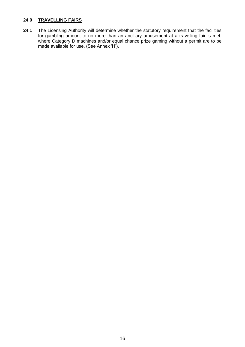#### **24.0 TRAVELLING FAIRS**

24.1 The Licensing Authority will determine whether the statutory requirement that the facilities for gambling amount to no more than an ancillary amusement at a travelling fair is met, where Category D machines and/or equal chance prize gaming without a permit are to be made available for use. (See Annex 'H').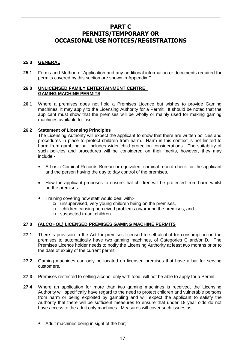#### **PART C PERMITS/TEMPORARY OR OCCASIONAL USE NOTICES/REGISTRATIONS**

#### **25.0 GENERAL**

**25.1** Forms and Method of Application and any additional information or documents required for permits covered by this section are shown in Appendix F.

#### **26.0 UNLICENSED FAMILY ENTERTAINMENT CENTRE GAMING MACHINE PERMITS**

**26.1** Where a premises does not hold a Premises Licence but wishes to provide Gaming machines, it may apply to the Licensing Authority for a Permit. It should be noted that the applicant must show that the premises will be wholly or mainly used for making gaming machines available for use.

#### **26.2 Statement of Licensing Principles**

The Licensing Authority will expect the applicant to show that there are written policies and procedures in place to protect children from harm. Harm in this context is not limited to harm from gambling but includes wider child protection considerations. The suitability of such policies and procedures will be considered on their merits, however, they may include:-

- A basic Criminal Records Bureau or equivalent criminal record check for the applicant and the person having the day to day control of the premises.
- How the applicant proposes to ensure that children will be protected from harm whilst on the premises.
- Training covering how staff would deal with:
	- unsupervised, very young children being on the premises,
	- children causing perceived problems on/around the premises, and
	- suspected truant children

#### **27.0 (ALCOHOL) LICENSED PREMISES GAMING MACHINE PERMITS**

- **27.1** There is provision in the Act for premises licensed to sell alcohol for consumption on the premises to automatically have two gaming machines, of Categories C and/or D. The Premises Licence holder needs to notify the Licensing Authority at least two months prior to the date of expiry of the current permit.
- **27.2** Gaming machines can only be located on licensed premises that have a bar for serving customers.
- **27.3** Premises restricted to selling alcohol only with food, will not be able to apply for a Permit.
- **27.4** Where an application for more than two gaming machines is received, the Licensing Authority will specifically have regard to the need to protect children and vulnerable persons from harm or being exploited by gambling and will expect the applicant to satisfy the Authority that there will be sufficient measures to ensure that under 18 year olds do not have access to the adult only machines. Measures will cover such issues as:-
	- Adult machines being in sight of the bar;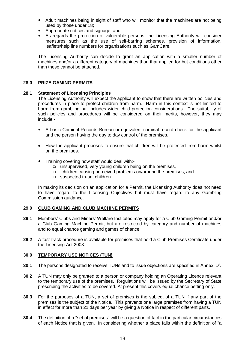- Adult machines being in sight of staff who will monitor that the machines are not being used by those under 18;
- Appropriate notices and signage; and
- As regards the protection of vulnerable persons, the Licensing Authority will consider measures such as the use of self-barring schemes, provision of information, leaflets/help line numbers for organisations such as GamCare.

The Licensing Authority can decide to grant an application with a smaller number of machines and/or a different category of machines than that applied for but conditions other than these cannot be attached.

#### **28.0 PRIZE GAMING PERMITS**

#### **28.1 Statement of Licensing Principles**

The Licensing Authority will expect the applicant to show that there are written policies and procedures in place to protect children from harm. Harm in this context is not limited to harm from gambling but includes wider child protection considerations. The suitability of such policies and procedures will be considered on their merits, however, they may include:-

- A basic Criminal Records Bureau or equivalent criminal record check for the applicant and the person having the day to day control of the premises.
- How the applicant proposes to ensure that children will be protected from harm whilst on the premises.
- Training covering how staff would deal with:
	- unsupervised, very young children being on the premises,
	- children causing perceived problems on/around the premises, and
	- suspected truant children

In making its decision on an application for a Permit, the Licensing Authority does not need to have regard to the Licensing Objectives but must have regard to any Gambling Commission guidance.

#### **29.0 CLUB GAMING AND CLUB MACHINE PERMITS**

- **29.1** Members" Clubs and Miners" Welfare Institutes may apply for a Club Gaming Permit and/or a Club Gaming Machine Permit, but are restricted by category and number of machines and to equal chance gaming and games of chance.
- **29.2** A fast-track procedure is available for premises that hold a Club Premises Certificate under the Licensing Act 2003.

#### **30.0 TEMPORARY USE NOTICES (TUN)**

- **30.1** The persons designated to receive TUNs and to issue objections are specified in Annex "D".
- **30.2** A TUN may only be granted to a person or company holding an Operating Licence relevant to the temporary use of the premises. Regulations will be issued by the Secretary of State prescribing the activities to be covered. At present this covers equal chance betting only.
- **30.3** For the purposes of a TUN, a set of premises is the subject of a TUN if any part of the premises is the subject of the Notice. This prevents one large premises from having a TUN in effect for more than 21 days per year by giving a Notice in respect of different parts.
- **30.4** The definition of a "set of premises" will be a question of fact in the particular circumstances of each Notice that is given. In considering whether a place falls within the definition of "a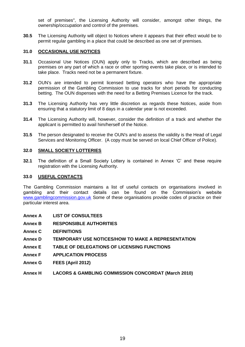set of premises", the Licensing Authority will consider, amongst other things, the ownership/occupation and control of the premises.

**30.5** The Licensing Authority will object to Notices where it appears that their effect would be to permit regular gambling in a place that could be described as one set of premises.

#### **31.0 OCCASIONAL USE NOTICES**

- **31.1** Occasional Use Notices (OUN) apply only to Tracks, which are described as being premises on any part of which a race or other sporting events take place, or is intended to take place. Tracks need not be a permanent fixture.
- **31.2** OUN's are intended to permit licensed betting operators who have the appropriate permission of the Gambling Commission to use tracks for short periods for conducting betting. The OUN dispenses with the need for a Betting Premises Licence for the track.
- **31.3** The Licensing Authority has very little discretion as regards these Notices, aside from ensuring that a statutory limit of 8 days in a calendar year is not exceeded.
- **31.4** The Licensing Authority will, however, consider the definition of a track and whether the applicant is permitted to avail him/herself of the Notice.
- **31.5** The person designated to receive the OUN's and to assess the validity is the Head of Legal Services and Monitoring Officer. (A copy must be served on local Chief Officer of Police).

#### **32.0 SMALL SOCIETY LOTTERIES**

**32.1** The definition of a Small Society Lottery is contained in Annex "C" and these require registration with the Licensing Authority.

#### **33.0 USEFUL CONTACTS**

The Gambling Commission maintains a list of useful contacts on organisations involved in gambling and their contact details can be found on the Commission's website [www.gamblingcommission.gov.uk](http://www.gamblingcommission.gov.uk/) Some of these organisations provide codes of practice on their particular interest area.

- **Annex A LIST OF CONSULTEES**
- **Annex B RESPONSIBLE AUTHORITIES**
- **Annex C DEFINITIONS**
- **Annex D TEMPORARY USE NOTICES/HOW TO MAKE A REPRESENTATION**
- **Annex E TABLE OF DELEGATIONS OF LICENSING FUNCTIONS**
- **Annex F APPLICATION PROCESS**
- **Annex G FEES (April 2012)**
- **Annex H LACORS & GAMBLING COMMISSION CONCORDAT (March 2010)**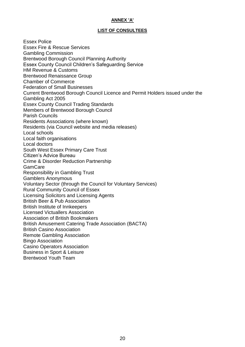#### **ANNEX 'A'**

#### **LIST OF CONSULTEES**

Essex Police Essex Fire & Rescue Services Gambling Commission Brentwood Borough Council Planning Authority Essex County Council Children"s Safeguarding Service HM Revenue & Customs Brentwood Renaissance Group Chamber of Commerce Federation of Small Businesses Current Brentwood Borough Council Licence and Permit Holders issued under the Gambling Act 2005 Essex County Council Trading Standards Members of Brentwood Borough Council Parish Councils Residents Associations (where known) Residents (via Council website and media releases) Local schools Local faith organisations Local doctors South West Essex Primary Care Trust Citizen"s Advice Bureau Crime & Disorder Reduction Partnership **GamCare** Responsibility in Gambling Trust Gamblers Anonymous Voluntary Sector (through the Council for Voluntary Services) Rural Community Council of Essex Licensing Solicitors and Licensing Agents British Beer & Pub Association British Institute of Innkeepers Licensed Victuallers Association Association of British Bookmakers British Amusement Catering Trade Association (BACTA) British Casino Association Remote Gambling Association Bingo Association Casino Operators Association Business in Sport & Leisure Brentwood Youth Team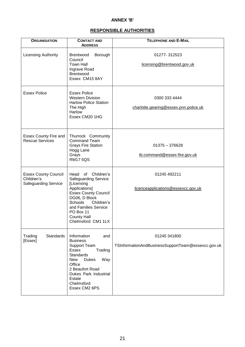#### **ANNEX 'B'**

#### **RESPONSIBLE AUTHORITIES**

| <b>ORGANISATION</b>                                                      | <b>CONTACT AND</b><br><b>ADDRESS</b>                                                                                                                                                                                                       | <b>TELEPHONE AND E-MAIL</b>                                        |
|--------------------------------------------------------------------------|--------------------------------------------------------------------------------------------------------------------------------------------------------------------------------------------------------------------------------------------|--------------------------------------------------------------------|
| <b>Licensing Authority</b>                                               | Borough<br><b>Brentwood</b><br>Council<br><b>Town Hall</b><br>Ingrave Road<br>Brentwood<br>Essex CM15 8AY                                                                                                                                  | 01277-312523<br>licensing@brentwood.gov.uk                         |
| <b>Essex Police</b>                                                      | <b>Essex Police</b><br><b>Western Division</b><br><b>Harlow Police Station</b><br>The High<br>Harlow<br>Essex CM20 1HG                                                                                                                     | 0300 333 4444<br>charlotte.gearing@essex.pnn.police.uk             |
| <b>Essex County Fire and</b><br><b>Rescue Services</b>                   | Thurrock Community<br><b>Command Team</b><br><b>Grays Fire Station</b><br>Hogg Lane<br>Grays<br><b>RM175QS</b>                                                                                                                             | $01375 - 376628$<br>tb.command@essex-fire.gov.uk                   |
| <b>Essex County Council</b><br>Children's<br><b>Safeguarding Service</b> | Head of Children's<br><b>Safeguarding Service</b><br>[Licensing<br>Applications]<br><b>Essex County Council</b><br>DG06, D Block<br>Schools<br>Children's<br>and Families Service<br>PO Box 11<br><b>County Hall</b><br>Chelmsford CM1 1LX | 01245 492211<br>licenceapplications@essexcc.gov.uk                 |
| Standards<br>Trading<br>[Essex]                                          | Information<br>and<br><b>Business</b><br><b>Support Team</b><br>Essex<br>Trading<br>Standards<br><b>Dukes</b><br>Way<br><b>New</b><br>Office<br>2 Beaufort Road<br>Dukes Park Industrial<br>Estate<br>Chelmsford<br>Essex CM2 6PS          | 01245 341800<br>TSInformationAndBusinessSupportTeam@essexcc.gov.uk |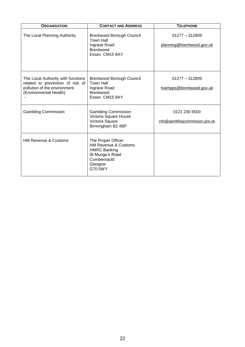| <b>ORGANISATION</b>                                                                                                               | <b>CONTACT AND ADDRESS</b>                                                                                                           | <b>TELEPHONE</b>                                |  |  |
|-----------------------------------------------------------------------------------------------------------------------------------|--------------------------------------------------------------------------------------------------------------------------------------|-------------------------------------------------|--|--|
| The Local Planning Authority                                                                                                      | <b>Brentwood Borough Council</b><br><b>Town Hall</b><br>Ingrave Road<br><b>Brentwood</b><br>Essex CM15 8AY                           | $01277 - 312809$<br>planning@brentwood.gov.uk   |  |  |
| The Local Authority with functions<br>related to prevention of risk of<br>pollution of the environment.<br>(Environmental Health) | <b>Brentwood Borough Council</b><br><b>Town Hall</b><br>Ingrave Road<br><b>Brentwood</b><br>Essex CM15 8AY                           | $01277 - 312809$<br>hoehpps@brentwood.gov.uk    |  |  |
| <b>Gambling Commission</b>                                                                                                        | <b>Gambling Commission</b><br>Victoria Square House<br>Victoria Square<br>Birmingham B2 4BP                                          | 0121 230 6500<br>info@gamblingcommission.gov.uk |  |  |
| <b>HM Revenue &amp; Customs</b>                                                                                                   | The Proper Officer<br><b>HM Revenue &amp; Customs</b><br><b>HMRC Banking</b><br>St Mungo's Road<br>Cumbernauld<br>Glasgow<br>G70 5WY |                                                 |  |  |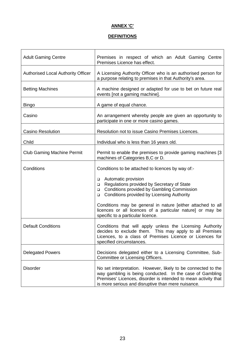#### **ANNEX 'C'**

#### **DEFINITIONS**

| <b>Adult Gaming Centre</b>                | Premises in respect of which an Adult Gaming Centre<br>Premises Licence has effect.                                                                                                                                                               |  |  |
|-------------------------------------------|---------------------------------------------------------------------------------------------------------------------------------------------------------------------------------------------------------------------------------------------------|--|--|
| <b>Authorised Local Authority Officer</b> | A Licensing Authority Officer who is an authorised person for<br>a purpose relating to premises in that Authority's area.                                                                                                                         |  |  |
| <b>Betting Machines</b>                   | A machine designed or adapted for use to bet on future real<br>events [not a gaming machine].                                                                                                                                                     |  |  |
| <b>Bingo</b>                              | A game of equal chance.                                                                                                                                                                                                                           |  |  |
| Casino                                    | An arrangement whereby people are given an opportunity to<br>participate in one or more casino games.                                                                                                                                             |  |  |
| <b>Casino Resolution</b>                  | Resolution not to issue Casino Premises Licences.                                                                                                                                                                                                 |  |  |
| Child                                     | Individual who is less than 16 years old.                                                                                                                                                                                                         |  |  |
| <b>Club Gaming Machine Permit</b>         | Permit to enable the premises to provide gaming machines [3]<br>machines of Categories B,C or D.                                                                                                                                                  |  |  |
| Conditions                                | Conditions to be attached to licences by way of:-                                                                                                                                                                                                 |  |  |
|                                           | Automatic provision<br>□<br>Regulations provided by Secretary of State<br>$\Box$<br>Conditions provided by Gambling Commission<br>$\Box$<br>Conditions provided by Licensing Authority<br>$\Box$                                                  |  |  |
|                                           | Conditions may be general in nature [either attached to all<br>licences or all licences of a particular nature] or may be<br>specific to a particular licence.                                                                                    |  |  |
| <b>Default Conditions</b>                 | Conditions that will apply unless the Licensing Authority<br>decides to exclude them. This may apply to all Premises<br>Licences, to a class of Premises Licence or Licences for<br>specified circumstances.                                      |  |  |
| <b>Delegated Powers</b>                   | Decisions delegated either to a Licensing Committee, Sub-<br>Committee or Licensing Officers.                                                                                                                                                     |  |  |
| <b>Disorder</b>                           | No set interpretation. However, likely to be connected to the<br>way gambling is being conducted. In the case of Gambling<br>Premises' Licences, disorder is intended to mean activity that<br>is more serious and disruptive than mere nuisance. |  |  |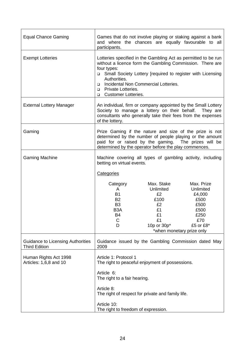| <b>Equal Chance Gaming</b>                                       | Games that do not involve playing or staking against a bank<br>and where the chances are equally favourable to all<br>participants.                                                                                                                                                                                                        |                                                                                                           |                                                                                       |  |
|------------------------------------------------------------------|--------------------------------------------------------------------------------------------------------------------------------------------------------------------------------------------------------------------------------------------------------------------------------------------------------------------------------------------|-----------------------------------------------------------------------------------------------------------|---------------------------------------------------------------------------------------|--|
| <b>Exempt Lotteries</b>                                          | Lotteries specified in the Gambling Act as permitted to be run<br>without a licence form the Gambling Commission. There are<br>four types:<br>□ Small Society Lottery [required to register with Licensing<br>Authorities.<br>Incidental Non Commercial Lotteries.<br>□<br>Private Lotteries.<br>▫<br><b>Customer Lotteries.</b><br>$\Box$ |                                                                                                           |                                                                                       |  |
| <b>External Lottery Manager</b>                                  | An individual, firm or company appointed by the Small Lottery<br>Society to manage a lottery on their behalf. They are<br>consultants who generally take their fees from the expenses<br>of the lottery.                                                                                                                                   |                                                                                                           |                                                                                       |  |
| Gaming                                                           | Prize Gaming if the nature and size of the prize is not<br>determined by the number of people playing or the amount<br>paid for or raised by the gaming. The prizes will be<br>determined by the operator before the play commences.                                                                                                       |                                                                                                           |                                                                                       |  |
| <b>Gaming Machine</b>                                            | Machine covering all types of gambling activity, including<br>betting on virtual events.                                                                                                                                                                                                                                                   |                                                                                                           |                                                                                       |  |
|                                                                  | Categories                                                                                                                                                                                                                                                                                                                                 |                                                                                                           |                                                                                       |  |
|                                                                  | Category<br>A<br><b>B1</b><br><b>B2</b><br>B <sub>3</sub><br>B <sub>3</sub> A<br><b>B4</b><br>С<br>D                                                                                                                                                                                                                                       | Max. Stake<br>Unlimited<br>£2<br>£100<br>£2<br>£1<br>£1<br>£1<br>10p or 30p*<br>*when monetary prize only | Max. Prize<br>Unlimited<br>£4,000<br>£500<br>£500<br>£500<br>£250<br>£70<br>£5 or £8* |  |
| <b>Guidance to Licensing Authorities</b><br><b>Third Edition</b> | Guidance issued by the Gambling Commission dated May<br>2009                                                                                                                                                                                                                                                                               |                                                                                                           |                                                                                       |  |
| Human Rights Act 1998<br>Articles: 1,6,8 and 10                  | Article 1: Protocol 1<br>The right to peaceful enjoyment of possessions.<br>Article 6:                                                                                                                                                                                                                                                     |                                                                                                           |                                                                                       |  |
|                                                                  | The right to a fair hearing.                                                                                                                                                                                                                                                                                                               |                                                                                                           |                                                                                       |  |
|                                                                  | Article 8:<br>The right of respect for private and family life.                                                                                                                                                                                                                                                                            |                                                                                                           |                                                                                       |  |
|                                                                  | Article 10:<br>The right to freedom of expression.                                                                                                                                                                                                                                                                                         |                                                                                                           |                                                                                       |  |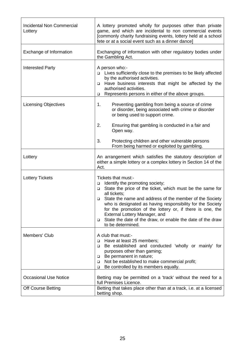| <b>Incidental Non Commercial</b><br>Lottery | A lottery promoted wholly for purposes other than private<br>game, and which are incidental to non commercial events<br>[commonly charity fundraising events, lottery held at a school<br>fete or at a social event such as a dinner dance]                                                                                                                                                                                                                                 |  |  |
|---------------------------------------------|-----------------------------------------------------------------------------------------------------------------------------------------------------------------------------------------------------------------------------------------------------------------------------------------------------------------------------------------------------------------------------------------------------------------------------------------------------------------------------|--|--|
| Exchange of Information                     | Exchanging of information with other regulatory bodies under<br>the Gambling Act.                                                                                                                                                                                                                                                                                                                                                                                           |  |  |
| <b>Interested Party</b>                     | A person who:-<br>Lives sufficiently close to the premises to be likely affected<br>□<br>by the authorised activities.<br>Have business interests that might be affected by the<br>□<br>authorised activities.<br>Represents persons in either of the above groups.<br>$\Box$                                                                                                                                                                                               |  |  |
| <b>Licensing Objectives</b>                 | 1.<br>Preventing gambling from being a source of crime<br>or disorder, being associated with crime or disorder<br>or being used to support crime.<br>2.<br>Ensuring that gambling is conducted in a fair and<br>Open way.                                                                                                                                                                                                                                                   |  |  |
|                                             | 3.<br>Protecting children and other vulnerable persons<br>From being harmed or exploited by gambling.                                                                                                                                                                                                                                                                                                                                                                       |  |  |
| Lottery                                     | An arrangement which satisfies the statutory description of<br>either a simple lottery or a complex lottery in Section 14 of the<br>Act.                                                                                                                                                                                                                                                                                                                                    |  |  |
| <b>Lottery Tickets</b>                      | Tickets that must:-<br>Identify the promoting society;<br>$\Box$<br>State the price of the ticket, which must be the same for<br>$\Box$<br>all tickets;<br>State the name and address of the member of the Society<br>□<br>who is designated as having responsibility for the Society<br>for the promotion of the lottery or, if there is one, the<br>External Lottery Manager, and<br>State the date of the draw, or enable the date of the draw<br>▫<br>to be determined. |  |  |
| Members' Club                               | A club that must:-<br>Have at least 25 members;<br>□<br>Be established and conducted 'wholly or mainly' for<br>$\Box$<br>purposes other than gaming;<br>Be permanent in nature;<br>$\Box$<br>Not be established to make commercial profit;<br>$\Box$<br>Be controlled by its members equally.<br>$\Box$                                                                                                                                                                     |  |  |
| <b>Occasional Use Notice</b>                | Betting may be permitted on a 'track' without the need for a<br>full Premises Licence.                                                                                                                                                                                                                                                                                                                                                                                      |  |  |
| <b>Off Course Betting</b>                   | Betting that takes place other than at a track, i.e. at a licensed<br>betting shop.                                                                                                                                                                                                                                                                                                                                                                                         |  |  |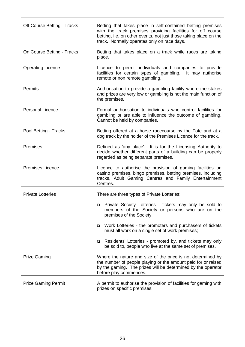| Off Course Betting - Tracks | Betting that takes place in self-contained betting premises<br>with the track premises providing facilities for off course<br>betting, i.e. on other events, not just those taking place on the<br>track. Normally operates only on race days. |
|-----------------------------|------------------------------------------------------------------------------------------------------------------------------------------------------------------------------------------------------------------------------------------------|
| On Course Betting - Tracks  | Betting that takes place on a track while races are taking<br>place.                                                                                                                                                                           |
| <b>Operating Licence</b>    | Licence to permit individuals and companies to provide<br>facilities for certain types of gambling. It may authorise<br>remote or non remote gambling.                                                                                         |
| Permits                     | Authorisation to provide a gambling facility where the stakes<br>and prizes are very low or gambling is not the main function of<br>the premises.                                                                                              |
| <b>Personal Licence</b>     | Formal authorisation to individuals who control facilities for<br>gambling or are able to influence the outcome of gambling.<br>Cannot be held by companies.                                                                                   |
| Pool Betting - Tracks       | Betting offered at a horse racecourse by the Tote and at a<br>dog track by the holder of the Premises Licence for the track.                                                                                                                   |
| Premises                    | Defined as 'any place'. It is for the Licensing Authority to<br>decide whether different parts of a building can be properly<br>regarded as being separate premises.                                                                           |
| <b>Premises Licence</b>     | Licence to authorise the provision of gaming facilities on<br>casino premises, bingo premises, betting premises, including<br>tracks, Adult Gaming Centres and Family Entertainment<br>Centres.                                                |
| <b>Private Lotteries</b>    | There are three types of Private Lotteries:                                                                                                                                                                                                    |
|                             | Private Society Lotteries - tickets may only be sold to<br>□<br>members of the Society or persons who are on the<br>premises of the Society;                                                                                                   |
|                             | Work Lotteries - the promoters and purchasers of tickets<br>▫<br>must all work on a single set of work premises;                                                                                                                               |
|                             | Residents' Lotteries - promoted by, and tickets may only<br>$\Box$<br>be sold to, people who live at the same set of premises.                                                                                                                 |
| <b>Prize Gaming</b>         | Where the nature and size of the price is not determined by<br>the number of people playing or the amount paid for or raised<br>by the gaming. The prizes will be determined by the operator<br>before play commences.                         |
| <b>Prize Gaming Permit</b>  | A permit to authorise the provision of facilities for gaming with<br>prizes on specific premises.                                                                                                                                              |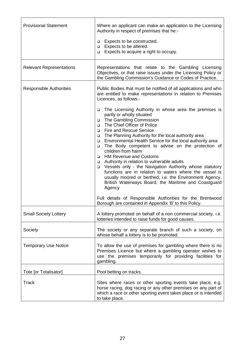| <b>Provisional Statement</b>    | Where an applicant can make an application to the Licensing<br>Authority in respect of premises that he:-<br>Expects to be constructed.<br>$\Box$<br>Expects to be altered.<br>$\Box$<br>Expects to acquire a right to occupy.<br>$\Box$                                                                                                                                                                                                                                                                                                                                                                                                                                                                                                                                                                                                                                                                                                                                                                                                                                                               |
|---------------------------------|--------------------------------------------------------------------------------------------------------------------------------------------------------------------------------------------------------------------------------------------------------------------------------------------------------------------------------------------------------------------------------------------------------------------------------------------------------------------------------------------------------------------------------------------------------------------------------------------------------------------------------------------------------------------------------------------------------------------------------------------------------------------------------------------------------------------------------------------------------------------------------------------------------------------------------------------------------------------------------------------------------------------------------------------------------------------------------------------------------|
| <b>Relevant Representations</b> | Representations that relate to the Gambling Licensing<br>Objectives, or that raise issues under the Licensing Policy or<br>the Gambling Commission's Guidance or Codes of Practice.                                                                                                                                                                                                                                                                                                                                                                                                                                                                                                                                                                                                                                                                                                                                                                                                                                                                                                                    |
| <b>Responsible Authorities</b>  | Public Bodies that must be notified of all applications and who<br>are entitled to make representations in relation to Premises<br>Licences, as follows:-<br>The Licensing Authority in whose area the premises is<br>$\Box$<br>partly or wholly situated<br>The Gambling Commission<br>$\Box$<br>The Chief Officer of Police<br>$\Box$<br><b>Fire and Rescue Service</b><br>$\Box$<br>The Planning Authority for the local authority area<br>$\Box$<br>Environmental Health Service for the local authority area<br>$\Box$<br>The Body competent to advise on the protection of<br>$\Box$<br>children from harm<br><b>HM Revenue and Customs</b><br>$\Box$<br>Authority in relation to vulnerable adults<br>$\Box$<br>Vessels only - the Navigation Authority whose statutory<br>$\Box$<br>functions are in relation to waters where the vessel is<br>usually moored or berthed, i.e. the Environment Agency,<br>British Waterways Board, the Maritime and Coastguard<br>Agency<br>Full details of Responsible Authorities for the Brentwood<br>Borough are contained in Appendix 'B' to this Policy. |
| <b>Small Society Lottery</b>    | A lottery promoted on behalf of a non commercial society, i.e.<br>lotteries intended to raise funds for good causes.                                                                                                                                                                                                                                                                                                                                                                                                                                                                                                                                                                                                                                                                                                                                                                                                                                                                                                                                                                                   |
| Society                         | The society or any separate branch of such a society, on<br>whose behalf a lottery is to be promoted.                                                                                                                                                                                                                                                                                                                                                                                                                                                                                                                                                                                                                                                                                                                                                                                                                                                                                                                                                                                                  |
| <b>Temporary Use Notice</b>     | To allow the use of premises for gambling where there is no<br>Premises Licence but where a gambling operator wishes to<br>use the premises temporarily for providing facilities for<br>gambling.                                                                                                                                                                                                                                                                                                                                                                                                                                                                                                                                                                                                                                                                                                                                                                                                                                                                                                      |
| Tote [or Totalisator]           | Pool betting on tracks.                                                                                                                                                                                                                                                                                                                                                                                                                                                                                                                                                                                                                                                                                                                                                                                                                                                                                                                                                                                                                                                                                |
| <b>Track</b>                    | Sites where races or other sporting events take place, e.g.<br>horse racing, dog racing or any other premises on any part of<br>which a race or other sporting event takes place or is intended<br>to take place.                                                                                                                                                                                                                                                                                                                                                                                                                                                                                                                                                                                                                                                                                                                                                                                                                                                                                      |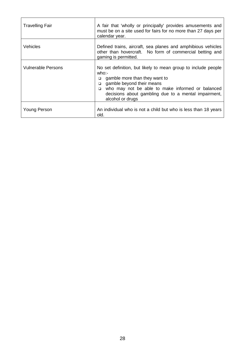| <b>Travelling Fair</b>    | A fair that 'wholly or principally' provides amusements and<br>must be on a site used for fairs for no more than 27 days per<br>calendar year.                                                                                                                                                    |
|---------------------------|---------------------------------------------------------------------------------------------------------------------------------------------------------------------------------------------------------------------------------------------------------------------------------------------------|
| <b>Vehicles</b>           | Defined trains, aircraft, sea planes and amphibious vehicles<br>other than hovercraft. No form of commercial betting and<br>gaming is permitted.                                                                                                                                                  |
| <b>Vulnerable Persons</b> | No set definition, but likely to mean group to include people<br>who:<br>gamble more than they want to<br>$\Box$<br>gamble beyond their means<br>$\Box$<br>who may not be able to make informed or balanced<br>$\Box$<br>decisions about gambling due to a mental impairment,<br>alcohol or drugs |
| Young Person              | An individual who is not a child but who is less than 18 years<br>old.                                                                                                                                                                                                                            |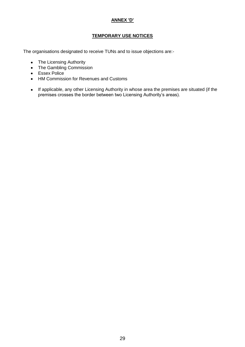#### **ANNEX 'D'**

#### **TEMPORARY USE NOTICES**

The organisations designated to receive TUNs and to issue objections are:-

- The Licensing Authority
- The Gambling Commission
- Essex Police
- HM Commission for Revenues and Customs
- If applicable, any other Licensing Authority in whose area the premises are situated (if the premises crosses the border between two Licensing Authority"s areas).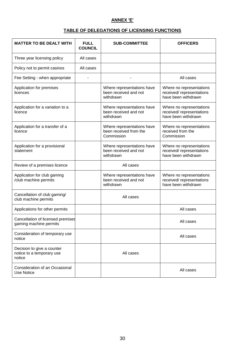#### **ANNEX 'E'**

#### **TABLE OF DELEGATIONS OF LICENSING FUNCTIONS**

| <b>MATTER TO BE DEALT WITH</b>                                    | <b>FULL</b><br><b>COUNCIL</b> | <b>SUB-COMMITTEE</b>                                               | <b>OFFICERS</b>                                                              |
|-------------------------------------------------------------------|-------------------------------|--------------------------------------------------------------------|------------------------------------------------------------------------------|
| Three year licensing policy                                       | All cases                     |                                                                    |                                                                              |
| Policy not to permit casinos                                      | All cases                     |                                                                    |                                                                              |
| Fee Setting - when appropriate                                    |                               |                                                                    | All cases                                                                    |
| Application for premises<br>licences                              |                               | Where representations have<br>been received and not<br>withdrawn   | Where no representations<br>received/ representations<br>have been withdrawn |
| Application for a variation to a<br>licence                       |                               | Where representations have<br>been received and not<br>withdrawn   | Where no representations<br>received/representations<br>have been withdrawn  |
| Application for a transfer of a<br>licence                        |                               | Where representations have<br>been received from the<br>Commission | Where no representations<br>received from the<br>Commission                  |
| Application for a provisional<br>statement                        |                               | Where representations have<br>been received and not<br>withdrawn   | Where no representations<br>received/representations<br>have been withdrawn  |
| Review of a premises licence                                      |                               | All cases                                                          |                                                                              |
| Application for club gaming<br>/club machine permits              |                               | Where representations have<br>been received and not<br>withdrawn   | Where no representations<br>received/representations<br>have been withdrawn  |
| Cancellation of club gaming/<br>club machine permits              |                               | All cases                                                          |                                                                              |
| Applications for other permits                                    |                               |                                                                    | All cases                                                                    |
| Cancellation of licensed premises<br>gaming machine permits       |                               |                                                                    | All cases                                                                    |
| Consideration of temporary use<br>notice                          |                               |                                                                    | All cases                                                                    |
| Decision to give a counter<br>notice to a temporary use<br>notice |                               | All cases                                                          |                                                                              |
| Consideration of an Occasional<br><b>Use Notice</b>               |                               |                                                                    | All cases                                                                    |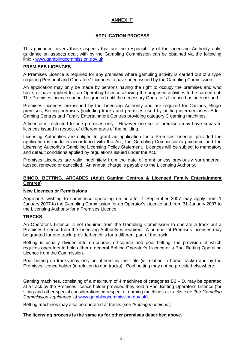#### **ANNEX 'F'**

#### **APPLICATION PROCESS**

This guidance covers those aspects that are the responsibility of the Licensing Authority only; guidance on aspects dealt with by the Gambling Commission can be obtained via the following link: **-** [www.gamblingcommission.gov.uk](http://www.gamblingcommission.gov.uk/)

#### **PREMISES LICENCES**

A Premises Licence is required for any premises where gambling activity is carried out of a type requiring Personal and Operators' Licences to have been issued by the Gambling Commission.

An application may only be made by persons having the right to occupy the premises and who have, or have applied for, an Operating Licence allowing the proposed activities to be carried out. The Premises Licence cannot be granted until the necessary Operator's Licence has been issued.

Premises Licences are issued by the Licensing Authority and are required for Casinos, Bingo premises, Betting premises (including tracks and premises used by betting intermediaries) Adult Gaming Centres and Family Entertainment Centres providing category C gaming machines.

A licence is restricted to one premises only. However one set of premises may have separate licences issued in respect of different parts of the building.

Licensing Authorities are obliged to grant an application for a Premises Licence, provided the application is made in accordance with the Act, the Gambling Commission's guidance and the Licensing Authority"s Gambling Licensing Policy Statement. Licences will be subject to mandatory and default conditions applied by regulations issued under the Act.

Premises Licences are valid indefinitely from the date of grant unless previously surrendered, lapsed, renewed or cancelled. An annual charge is payable to the Licensing Authority.

#### **BINGO, BETTING, ARCADES (Adult Gaming Centres & Licensed Family Entertainment Centres)**

#### **New Licences or Permissions**

Applicants wishing to commence operating on or after 1 September 2007 may apply from 1 January 2007 to the Gambling Commission for an Operator's Licence and from 31 January 2007 to the Licensing Authority for a Premises Licence.

#### **TRACKS**

An Operator's Licence is not required from the Gambling Commission to operate a track but a Premises Licence from the Licensing Authority is required. A number of Premises Licences may be granted for one track, provided each is for a different part of the track.

Betting is usually divided into on-course, off-course and pool betting, the provision of which requires operators to hold either a general Betting Operator"s Licence or a Pool Betting Operating Licence from the Commission.

Pool betting on tracks may only be offered by the Tote (in relation to horse tracks) and by the Premises licence holder (in relation to dog tracks). Pool betting may not be provided elsewhere.

Gaming machines, consisting of a maximum of 4 machines of categories B2 – D, may be operated at a track by the Premises licence holder provided they hold a Pool Betting Operator's Licence (for siting and other special considerations in respect of gaming machines at tracks, see *'the Gambling Commission's guidance'* at [www.gamblingcommission.gov.uk\)](http://www.gamblingcommission.gov.uk/).

Betting machines may also be operated at tracks (see *'Betting machines'*).

#### **The licensing process is the same as for other premises described above.**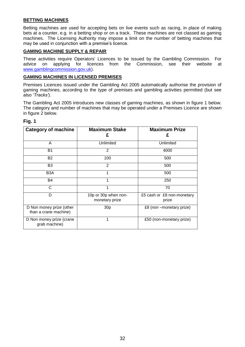#### **BETTING MACHINES**

Betting machines are used for accepting bets on live events such as racing, in place of making bets at a counter, e.g. in a betting shop or on a track. These machines are not classed as gaming machines. The Licensing Authority may impose a limit on the number of betting machines that may be used in conjunction with a premise's licence.

#### **GAMING MACHINE SUPPLY & REPAIR**

These activities require Operators' Licences to be issued by the Gambling Commission. For advice on applying for licences from the Commission, see their website at [www.gamblingcommission.gov.uk\)](http://www.gamblingcommission.gov.uk/).

#### **GAMING MACHINES IN LICENSED PREMISES**

Premises Licences issued under the Gambling Act 2005 automatically authorise the provision of gaming machines, according to the type of premises and gambling activities permitted (but see also *'Tracks'*).

The Gambling Act 2005 introduces new classes of gaming machines, as shown in figure 1 below. The category and number of machines that may be operated under a Premises Licence are shown in figure 2 below.

#### **Fig. 1**

| <b>Category of machine</b>                        | <b>Maximum Stake</b>                   | <b>Maximum Prize</b><br>£           |
|---------------------------------------------------|----------------------------------------|-------------------------------------|
| A                                                 | Unlimited                              | Unlimited                           |
| <b>B1</b>                                         | 2                                      | 4000                                |
| <b>B2</b>                                         | 100                                    | 500                                 |
| B3                                                | $\overline{2}$                         | 500                                 |
| B <sub>3</sub> A                                  | 1                                      | 500                                 |
| <b>B4</b>                                         |                                        | 250                                 |
| C                                                 |                                        | 70                                  |
| D                                                 | 10p or 30p when non-<br>monetary prize | £5 cash or £8 non-monetary<br>prize |
| D Non money prize (other<br>than a crane machine) | 30 <sub>p</sub>                        | £8 (non -monetary prize)            |
| D Non money prize (crane<br>grab machine)         | 1                                      | £50 (non-monetary prize)            |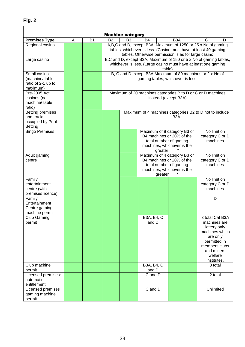|                         |   |                | <b>Machine category</b>    |                |             |         |                                                                   |   |                 |
|-------------------------|---|----------------|----------------------------|----------------|-------------|---------|-------------------------------------------------------------------|---|-----------------|
| <b>Premises Type</b>    | A | B <sub>1</sub> | <b>B2</b>                  | B <sub>3</sub> | <b>B4</b>   |         | B <sub>3</sub> A                                                  | С | D               |
| Regional casino         |   |                |                            |                |             |         | A,B,C and D, except B3A. Maximum of 1250 or 25 x No of gaming     |   |                 |
|                         |   |                |                            |                |             |         | tables, whichever is less. (Casino must have at least 40 gaming   |   |                 |
|                         |   |                |                            |                |             |         | tables. Otherwise permission is as for large casino               |   |                 |
| Large casino            |   |                |                            |                |             |         | B,C and D, except B3A. Maximum of 150 or 5 x No of gaming tables, |   |                 |
|                         |   |                |                            |                |             |         | whichever is less. (Large casino must have at least one gaming    |   |                 |
|                         |   |                |                            |                |             | table)  |                                                                   |   |                 |
| Small casino            |   |                |                            |                |             |         | B, C and D except B3A. Maximum of 80 machines or 2 x No of        |   |                 |
| (machine/table          |   |                |                            |                |             |         | gaming tables, whichever is less.                                 |   |                 |
| ratio of 2-1 up to      |   |                |                            |                |             |         |                                                                   |   |                 |
| maximum)                |   |                |                            |                |             |         |                                                                   |   |                 |
| Pre-2005 Act            |   |                |                            |                |             |         | Maximum of 20 machines categories B to D or C or D machines       |   |                 |
| casinos (no             |   |                |                            |                |             |         | instead (except B3A)                                              |   |                 |
| machine/table           |   |                |                            |                |             |         |                                                                   |   |                 |
| ratio)                  |   |                |                            |                |             |         |                                                                   |   |                 |
| <b>Betting premises</b> |   |                |                            |                |             |         | Maximum of 4 machines categories B2 to D not to include           |   |                 |
| and tracks              |   |                |                            |                |             |         | B <sub>3</sub> A                                                  |   |                 |
| occupied by Pool        |   |                |                            |                |             |         |                                                                   |   |                 |
| <b>Betting</b>          |   |                |                            |                |             |         |                                                                   |   |                 |
| <b>Bingo Premises</b>   |   |                |                            |                |             |         | Maximum of 8 category B3 or                                       |   | No limit on     |
|                         |   |                |                            |                |             |         | B4 machines or 20% of the                                         |   | category C or D |
|                         |   |                |                            |                |             |         | total number of gaming                                            |   | machines        |
|                         |   |                |                            |                |             |         | machines, whichever is the                                        |   |                 |
|                         |   |                |                            |                |             | greater |                                                                   |   |                 |
| Adult gaming            |   |                |                            |                |             |         | Maximum of 4 category B3 or                                       |   | No limit on     |
| centre                  |   |                |                            |                |             |         | B4 machines or 20% of the                                         |   | category C or D |
|                         |   |                |                            |                |             |         | total number of gaming                                            |   | machines        |
|                         |   |                | machines, whichever is the |                |             |         |                                                                   |   |                 |
| Family                  |   |                |                            |                |             | greater |                                                                   |   | No limit on     |
| entertainment           |   |                |                            |                |             |         |                                                                   |   | category C or D |
| centre (with            |   |                |                            |                |             |         |                                                                   |   | machines        |
| premises licence)       |   |                |                            |                |             |         |                                                                   |   |                 |
| Family                  |   |                |                            |                |             |         |                                                                   |   | D               |
| Entertainment           |   |                |                            |                |             |         |                                                                   |   |                 |
| Centre gaming           |   |                |                            |                |             |         |                                                                   |   |                 |
| machine permit          |   |                |                            |                |             |         |                                                                   |   |                 |
| Club Gaming             |   |                |                            |                | B3A, B4, C  |         |                                                                   |   | 3 total Cat B3A |
| permit                  |   |                |                            |                | and D       |         |                                                                   |   | machines are    |
|                         |   |                |                            |                |             |         |                                                                   |   | lottery only    |
|                         |   |                |                            |                |             |         |                                                                   |   | machines which  |
|                         |   |                |                            |                |             |         |                                                                   |   | are only        |
|                         |   |                |                            |                |             |         |                                                                   |   | permitted in    |
|                         |   |                |                            |                |             |         |                                                                   |   | members clubs   |
|                         |   |                |                            |                |             |         |                                                                   |   | and miners      |
|                         |   |                |                            |                |             |         |                                                                   |   | welfare         |
|                         |   |                |                            |                |             |         |                                                                   |   | institutes.     |
| Club machine            |   |                |                            |                | B3A, B4, C  |         |                                                                   |   | 3 total         |
| permit                  |   |                |                            |                | and D       |         |                                                                   |   |                 |
| Licensed premises:      |   |                |                            |                | C and D     |         |                                                                   |   | 2 total         |
| automatic               |   |                |                            |                |             |         |                                                                   |   |                 |
| entitlement             |   |                |                            |                |             |         |                                                                   |   |                 |
| Licensed premises       |   |                |                            |                | $C$ and $D$ |         |                                                                   |   | Unlimited       |
| gaming machine          |   |                |                            |                |             |         |                                                                   |   |                 |
| permit                  |   |                |                            |                |             |         |                                                                   |   |                 |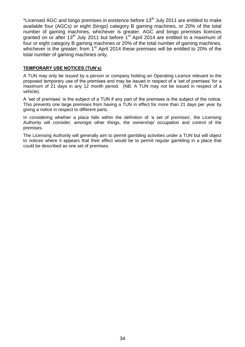\*Licensed AGC and bingo premises in existence before  $13<sup>th</sup>$  July 2011 are entitled to make available four (AGCs) or eight (bingo) category B gaming machines, or 20% of the total number of gaming machines, whichever is greater. AGC and bingo premises licences granted on or after 13<sup>th</sup> July 2011 but before  $1<sup>st</sup>$  April 2014 are entitled to a maximum of four or eight category B gaming machines or 20% of the total number of gaming machines, whichever is the greater; from  $1<sup>st</sup>$  April 2014 these premises will be entitled to 20% of the total number of gaming machines only.

#### **TEMPORARY USE NOTICES (TUN's)**

A TUN may only be issued by a person or company holding an Operating Licence relevant to the proposed temporary use of the premises and may be issued in respect of a "set of premises" for a maximum of 21 days in any 12 month period. (NB. A TUN may not be issued in respect of a vehicle).

A "set of premises" is the subject of a TUN if any part of the premises is the subject of the notice. This prevents one large premises from having a TUN in effect for more than 21 days per year by giving a notice in respect to different parts.

In considering whether a place falls within the definition of 'a set of premises', the Licensing Authority will consider, amongst other things, the ownership/ occupation and control of the premises.

The Licensing Authority will generally aim to permit gambling activities under a TUN but will object to notices where it appears that their effect would be to permit regular gambling in a place that could be described as one set of premises.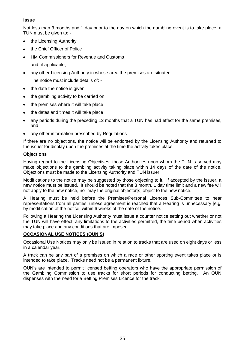#### **Issue**

Not less than 3 months and 1 day prior to the day on which the gambling event is to take place, a TUN must be given to: -

- the Licensing Authority  $\bullet$
- the Chief Officer of Police
- HM Commissioners for Revenue and Customs  $\bullet$ 
	- and, if applicable,
- any other Licensing Authority in whose area the premises are situated

The notice must include details of: -

- the date the notice is given
- the gambling activity to be carried on  $\bullet$
- the premises where it will take place  $\bullet$
- the dates and times it will take place  $\bullet$
- any periods during the preceding 12 months that a TUN has had effect for the same premises, and
- any other information prescribed by Regulations

If there are no objections, the notice will be endorsed by the Licensing Authority and returned to the issuer for display upon the premises at the time the activity takes place.

#### **Objections**

Having regard to the Licensing Objectives, those Authorities upon whom the TUN is served may make objections to the gambling activity taking place within 14 days of the date of the notice. Objections must be made to the Licensing Authority and TUN issuer.

Modifications to the notice may be suggested by those objecting to it. If accepted by the issuer, a new notice must be issued. It should be noted that the 3 month, 1 day time limit and a new fee will not apply to the new notice, nor may the original objector[s] object to the new notice.

A Hearing must be held before the Premises/Personal Licences Sub-Committee to hear representations from all parties, unless agreement is reached that a Hearing is unnecessary [e.g. by modification of the notice] within 6 weeks of the date of the notice.

Following a Hearing the Licensing Authority must issue a counter notice setting out whether or not the TUN will have effect, any limitations to the activities permitted, the time period when activities may take place and any conditions that are imposed.

#### **OCCASIONAL USE NOTICES (OUN'S)**

Occasional Use Notices may only be issued in relation to tracks that are used on eight days or less in a calendar year.

A track can be any part of a premises on which a race or other sporting event takes place or is intended to take place. Tracks need not be a permanent fixture.

OUN"s are intended to permit licensed betting operators who have the appropriate permission of the Gambling Commission to use tracks for short periods for conducting betting. An OUN dispenses with the need for a Betting Premises Licence for the track.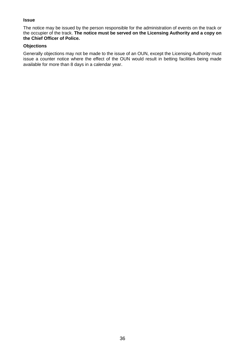#### **Issue**

The notice may be issued by the person responsible for the administration of events on the track or the occupier of the track. **The notice must be served on the Licensing Authority and a copy on the Chief Officer of Police.**

#### **Objections**

Generally objections may not be made to the issue of an OUN, except the Licensing Authority must issue a counter notice where the effect of the OUN would result in betting facilities being made available for more than 8 days in a calendar year.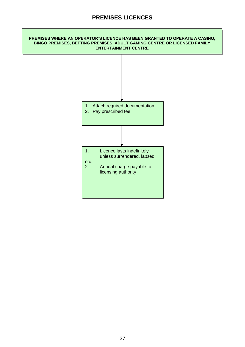## **PREMISES LICENCES**

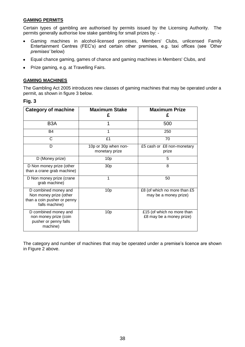#### **GAMING PERMITS**

Certain types of gambling are authorised by permits issued by the Licensing Authority. The permits generally authorise low stake gambling for small prizes by: -

- Gaming machines in alcohol-licensed premises, Members' Clubs, unlicensed Family Entertainment Centres (FEC"s) and certain other premises, e.g. taxi offices (see *'Other premises'* below)
- Equal chance gaming, games of chance and gaming machines in Members' Clubs, and
- Prize gaming, e.g. at Travelling Fairs.

#### **GAMING MACHINES**

The Gambling Act 2005 introduces new classes of gaming machines that may be operated under a permit, as shown in figure 3 below.

#### **Fig. 3**

| <b>Category of machine</b>                                                                      | <b>Maximum Stake</b><br>£              | <b>Maximum Prize</b><br>£                              |
|-------------------------------------------------------------------------------------------------|----------------------------------------|--------------------------------------------------------|
| B <sub>3</sub> A                                                                                |                                        | 500                                                    |
| <b>B4</b>                                                                                       |                                        | 250                                                    |
| C                                                                                               | £1                                     | 70                                                     |
| D                                                                                               | 10p or 30p when non-<br>monetary prize | £5 cash or £8 non-monetary<br>prize                    |
| D (Money prize)                                                                                 | 10 <sub>p</sub>                        | 5                                                      |
| D Non money prize (other<br>than a crane grab machine)                                          | 30 <sub>p</sub>                        | 8                                                      |
| D Non money prize (crane<br>grab machine)                                                       | 1                                      | 50                                                     |
| D combined money and<br>Non money prize (other<br>than a coin pusher or penny<br>falls machine) | 10 <sub>p</sub>                        | £8 (of which no more than £5<br>may be a money prize)  |
| D combined money and<br>non money prize (coin<br>pusher or penny falls<br>machine)              | 10 <sub>p</sub>                        | £15 (of which no more than<br>£8 may be a money prize) |

The category and number of machines that may be operated under a premise"s licence are shown in Figure 2 above.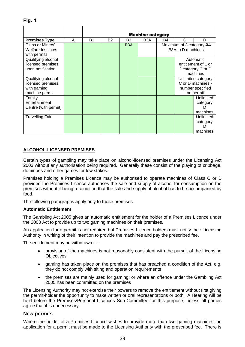|                           |   | <b>Machine category</b> |           |                  |                  |                                |           |                    |
|---------------------------|---|-------------------------|-----------|------------------|------------------|--------------------------------|-----------|--------------------|
| <b>Premises Type</b>      | A | <b>B1</b>               | <b>B2</b> | B3               | B <sub>3</sub> A | B4                             | C         | D                  |
| Clubs or Miners'          |   |                         |           | B <sub>3</sub> A |                  | Maximum of 3 category B4       |           |                    |
| <b>Welfare Institutes</b> |   |                         |           |                  |                  | B <sub>3</sub> A to D machines |           |                    |
| with permits              |   |                         |           |                  |                  |                                |           |                    |
| Qualifying alcohol        |   |                         |           |                  |                  |                                |           | Automatic          |
| licensed premises         |   |                         |           |                  |                  | entitlement of 1 or            |           |                    |
| upon notification         |   |                         |           |                  |                  | 2 category C or D              |           |                    |
|                           |   |                         |           |                  |                  |                                |           | machines           |
| Qualifying alcohol        |   |                         |           |                  |                  |                                |           | Unlimited category |
| licensed premises         |   |                         |           |                  |                  |                                |           | C or D machines -  |
| with gaming               |   |                         |           |                  |                  |                                |           | number specified   |
| machine permit            |   |                         |           |                  |                  |                                | on permit |                    |
| Family                    |   |                         |           |                  |                  |                                |           | Unlimited          |
| Entertainment             |   |                         |           |                  |                  |                                |           | category           |
| Centre (with permit)      |   |                         |           |                  |                  |                                |           |                    |
|                           |   |                         |           |                  |                  |                                |           | machines           |
| <b>Travelling Fair</b>    |   |                         |           |                  |                  |                                |           | Unlimited          |
|                           |   |                         |           |                  |                  |                                |           | category           |
|                           |   |                         |           |                  |                  |                                |           |                    |
|                           |   |                         |           |                  |                  |                                |           | machines           |

#### **ALCOHOL-LICENSED PREMISES**

Certain types of gambling may take place on alcohol-licensed premises under the Licensing Act 2003 without any authorisation being required. Generally these consist of the playing of cribbage, dominoes and other games for low stakes.

Premises holding a Premises Licence may be authorised to operate machines of Class C or D provided the Premises Licence authorises the sale and supply of alcohol for consumption on the premises without it being a condition that the sale and supply of alcohol has to be accompanied by food.

The following paragraphs apply only to those premises.

#### **Automatic Entitlement**

The Gambling Act 2005 gives an automatic entitlement for the holder of a Premises Licence under the 2003 Act to provide up to two gaming machines on their premises.

An application for a permit is not required but Premises Licence holders must notify their Licensing Authority in writing of their intention to provide the machines and pay the prescribed fee.

The entitlement may be withdrawn if:-

- provision of the machines is not reasonably consistent with the pursuit of the Licensing **Objectives**
- gaming has taken place on the premises that has breached a condition of the Act, e.g. they do not comply with siting and operation requirements
- the premises are mainly used for gaming; or where an offence under the Gambling Act  $\bullet$ 2005 has been committed on the premises

The Licensing Authority may not exercise their powers to remove the entitlement without first giving the permit-holder the opportunity to make written or oral representations or both. A Hearing will be held before the Premises/Personal Licences Sub-Committee for this purpose, unless all parties agree that it is unnecessary.

#### **New permits**

Where the holder of a Premises Licence wishes to provide more than two gaming machines, an application for a permit must be made to the Licensing Authority with the prescribed fee. There is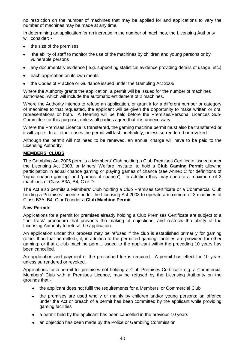no restriction on the number of machines that may be applied for and applications to vary the number of machines may be made at any time.

In determining an application for an increase in the number of machines, the Licensing Authority will consider: -

- the size of the premises
- the ability of staff to monitor the use of the machines by children and young persons or by vulnerable persons
- any documentary evidence [ e.g. supporting statistical evidence providing details of usage, etc.]
- each application on its own merits
- the Codes of Practice or Guidance issued under the Gambling Act 2005

Where the Authority grants the application, a permit will be issued for the number of machines authorised, which will include the automatic entitlement of 2 machines.

Where the Authority intends to refuse an application, or grant it for a different number or category of machines to that requested, the applicant will be given the opportunity to make written or oral representations or both. A Hearing will be held before the Premises/Personal Licences Sub-Committee for this purpose, unless all parties agree that it is unnecessary

Where the Premises Licence is transferred, the gaming machine permit must also be transferred or it will lapse. In all other cases the permit will last indefinitely, unless surrendered or revoked.

Although the permit will not need to be renewed, an annual charge will have to be paid to the Licensing Authority.

#### **MEMBERS' CLUBS**

The Gambling Act 2005 permits a Members' Club holding a Club Premises Certificate issued under the Licensing Act 2003, or Miners' Welfare Institute, to hold a **Club Gaming Permit** allowing participation in equal chance gaming or playing games of chance (see Annex C for definitions of "equal chance gaming" and "games of chance"). In addition they may operate a maximum of 3 machines of Class B3A, B4, C or D.

The Act also permits a Members' Club holding a Club Premises Certificate or a Commercial Club holding a Premises Licence under the Licensing Act 2003 to operate a maximum of 3 machines of Class B3A, B4, C or D under a **Club Machine Permit**.

#### **New Permits**

Applications for a permit for premises already holding a Club Premises Certificate are subject to a "fast track" procedure that prevents the making of objections, and restricts the ability of the Licensing Authority to refuse the application.

An application under this process may be refused if the club is established primarily for gaming (other than that permitted); if, in addition to the permitted gaming, facilities are provided for other gaming; or that a club machine permit issued to the applicant within the preceding 10 years has been cancelled.

An application and payment of the prescribed fee is required. A permit has effect for 10 years unless surrendered or revoked.

Applications for a permit for premises not holding a Club Premises Certificate e.g. a Commercial Members' Club with a Premises Licence, may be refused by the Licensing Authority on the grounds that:-

- the applicant does not fulfil the requirements for a Members' or Commercial Club
- the premises are used wholly or mainly by children and/or young persons; an offence under the Act or breach of a permit has been committed by the applicant while providing gaming facilities
- a permit held by the applicant has been cancelled in the previous 10 years
- an objection has been made by the Police or Gambling Commission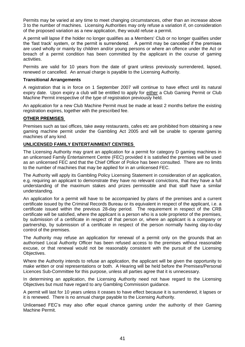Permits may be varied at any time to meet changing circumstances, other than an increase above 3 to the number of machines. Licensing Authorities may only refuse a variation if, on consideration of the proposed variation as a new application, they would refuse a permit.

A permit will lapse if the holder no longer qualifies as a Members' Club or no longer qualifies under the "fast track" system, or the permit is surrendered. A permit may be cancelled if the premises are used wholly or mainly by children and/or young persons or where an offence under the Act or breach of a permit condition has been committed by the applicant in the course of gaming activities.

Permits are valid for 10 years from the date of grant unless previously surrendered, lapsed, renewed or cancelled. An annual charge is payable to the Licensing Authority.

#### **Transitional Arrangements**

A registration that is in force on 1 September 2007 will continue to have effect until its natural expiry date. Upon expiry a club will be entitled to apply for either a Club Gaming Permit or Club Machine Permit irrespective of the type of registration previously held.

An application for a new Club Machine Permit must be made at least 2 months before the existing registration expires, together with the prescribed fee.

#### **OTHER PREMISES**

Premises such as taxi offices, take away restaurants, cafes etc are prohibited from obtaining a new gaming machine permit under the Gambling Act 2005 and will be unable to operate gaming machines of any kind.

#### **UNLICENSED FAMILY ENTERTAINMENT CENTRES**

The Licensing Authority may grant an application for a permit for category D gaming machines in an unlicensed Family Entertainment Centre (FEC) provided it is satisfied the premises will be used as an unlicensed FEC and that the Chief Officer of Police has been consulted. There are no limits to the number of machines that may be applied for in an unlicensed FEC.

The Authority will apply its Gambling Policy Licensing Statement in consideration of an application, e.g. requiring an applicant to demonstrate they have no relevant convictions, that they have a full understanding of the maximum stakes and prizes permissible and that staff have a similar understanding.

An application for a permit will have to be accompanied by plans of the premises and a current certificate issued by the Criminal Records Bureau or its equivalent in respect of the applicant, i.e. a certificate issued within the previous 28-day period. The requirement in respect of the CRB certificate will be satisfied, where the applicant is a person who is a sole proprietor of the premises, by submission of a certificate in respect of that person or, where an applicant is a company or partnership, by submission of a certificate in respect of the person normally having day-to-day control of the premises.

The Authority may refuse an application for renewal of a permit only on the grounds that an authorised Local Authority Officer has been refused access to the premises without reasonable excuse, or that renewal would not be reasonably consistent with the pursuit of the Licensing Objectives.

Where the Authority intends to refuse an application, the applicant will be given the opportunity to make written or oral representations or both. A Hearing will be held before the Premises/Personal Licences Sub-Committee for this purpose, unless all parties agree that it is unnecessary.

In determining an application, the Licensing Authority need not have regard to the Licensing Objectives but must have regard to any Gambling Commission guidance.

A permit will last for 10 years unless it ceases to have effect because it is surrendered, it lapses or it is renewed. There is no annual charge payable to the Licensing Authority.

Unlicensed FEC"s may also offer equal chance gaming under the authority of their Gaming Machine Permit.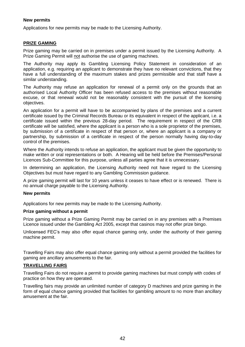#### **New permits**

Applications for new permits may be made to the Licensing Authority.

#### **PRIZE GAMING**

Prize gaming may be carried on in premises under a permit issued by the Licensing Authority. A Prize Gaming Permit will not authorise the use of gaming machines.

The Authority may apply its Gambling Licensing Policy Statement in consideration of an application, e.g. requiring an applicant to demonstrate they have no relevant convictions, that they have a full understanding of the maximum stakes and prizes permissible and that staff have a similar understanding.

The Authority may refuse an application for renewal of a permit only on the grounds that an authorised Local Authority Officer has been refused access to the premises without reasonable excuse, or that renewal would not be reasonably consistent with the pursuit of the licensing objectives.

An application for a permit will have to be accompanied by plans of the premises and a current certificate issued by the Criminal Records Bureau or its equivalent in respect of the applicant, i.e. a certificate issued within the previous 28-day period. The requirement in respect of the CRB certificate will be satisfied, where the applicant is a person who is a sole proprietor of the premises, by submission of a certificate in respect of that person or, where an applicant is a company or partnership, by submission of a certificate in respect of the person normally having day-to-day control of the premises.

Where the Authority intends to refuse an application, the applicant must be given the opportunity to make written or oral representations or both. A Hearing will be held before the Premises/Personal Licences Sub-Committee for this purpose, unless all parties agree that it is unnecessary.

In determining an application, the Licensing Authority need not have regard to the Licensing Objectives but must have regard to any Gambling Commission guidance.

A prize gaming permit will last for 10 years unless it ceases to have effect or is renewed. There is no annual charge payable to the Licensing Authority.

#### **New permits**

Applications for new permits may be made to the Licensing Authority.

#### **Prize gaming without a permit**

Prize gaming without a Prize Gaming Permit may be carried on in any premises with a Premises Licence issued under the Gambling Act 2005, except that casinos may not offer prize bingo.

Unlicensed FEC"s may also offer equal chance gaming only, under the authority of their gaming machine permit.

Travelling Fairs may also offer equal chance gaming only without a permit provided the facilities for gaming are ancillary amusements to the fair.

#### **TRAVELLING FAIRS**

Travelling Fairs do not require a permit to provide gaming machines but must comply with codes of practice on how they are operated.

Travelling fairs may provide an unlimited number of category D machines and prize gaming in the form of equal chance gaming provided that facilities for gambling amount to no more than ancillary amusement at the fair.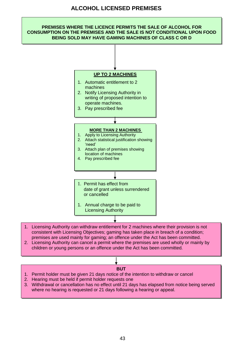#### **ALCOHOL LICENSED PREMISES**

### **PREMISES WHERE THE LICENCE PERMITS THE SALE OF ALCOHOL FOR CONSUMPTION ON THE PREMISES AND THE SALE IS NOT CONDITIONAL UPON FOOD BEING SOLD MAY HAVE GAMING MACHINES OF CLASS C OR D**



- 1. Licensing Authority can withdraw entitlement for 2 machines where their provision is not consistent with Licensing Objectives; gaming has taken place in breach of a condition; premises are used mainly for gaming; an offence under the Act has been committed.
- 2. Licensing Authority can cancel a permit where the premises are used wholly or mainly by children or young persons or an offence under the Act has been committed.

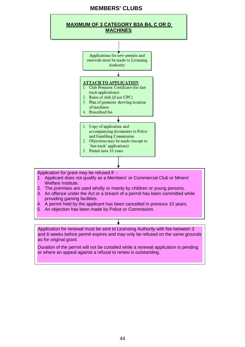#### **MEMBERS' CLUBS**



Application for grant may be refused if: -

- 1. Applicant does not qualify as a Members' or Commercial Club or Miners' Welfare Institute.
- 2. The premises are used wholly or mainly by children or young persons.
- 3. An offence under the Act or a breach of a permit has been committed while providing gaming facilities.
- 4. A permit held by the applicant has been cancelled in previous 10 years.
- 5. An objection has been made by Police or Commission.

Application for renewal must be sent to Licensing Authority with fee between 3 and 6 weeks before permit expires and may only be refused on the same grounds as for original grant.

Duration of the permit will not be curtailed while a renewal application is pending or where an appeal against a refusal to renew is outstanding.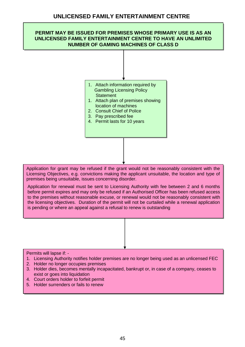## **PERMIT MAY BE ISSUED FOR PREMISES WHOSE PRIMARY USE IS AS AN UNLICENSED FAMILY ENTERTAINMENT CENTRE TO HAVE AN UNLIMITED NUMBER OF GAMING MACHINES OF CLASS D** 1. Attach information required by Gambling Licensing Policy **Statement** 1. Attach plan of premises showing location of machines 2. Consult Chief of Police 3. Pay prescribed fee 4. Permit lasts for 10 years Application for grant may be refused if the grant would not be reasonably consistent with the Licensing Objectives, e.g. convictions making the applicant unsuitable, the location and type of premises being unsuitable, issues concerning disorder. Application for renewal must be sent to Licensing Authority with fee between 2 and 6 months before permit expires and may only be refused if an Authorised Officer has been refused access

to the premises without reasonable excuse, or renewal would not be reasonably consistent with the licensing objectives. Duration of the permit will not be curtailed while a renewal application is pending or where an appeal against a refusal to renew is outstanding

#### Permits will lapse if: -

- 1. Licensing Authority notifies holder premises are no longer being used as an unlicensed FEC
- 2. Holder no longer occupies premises
- 3. Holder dies, becomes mentally incapacitated, bankrupt or, in case of a company, ceases to exist or goes into liquidation
- 4. Court orders holder to forfeit permit
- 5. Holder surrenders or fails to renew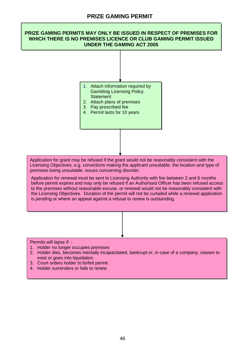#### **PRIZE GAMING PERMITS MAY ONLY BE ISSUED IN RESPECT OF PREMISES FOR WHICH THERE IS NO PREMISES LICENCE OR CLUB GAMING PERMIT ISSUED UNDER THE GAMING ACT 2005**

- 1. Attach information required by Gambling Licensing Policy **Statement**
- 2. Attach plans of premises
- 3. Pay prescribed fee
- 4. Permit lasts for 10 years

Application for grant may be refused if the grant would not be reasonably consistent with the Licensing Objectives, e.g. convictions making the applicant unsuitable, the location and type of premises being unsuitable, issues concerning disorder.

Application for renewal must be sent to Licensing Authority with fee between 2 and 6 months before permit expires and may only be refused if an Authorised Officer has been refused access to the premises without reasonable excuse, or renewal would not be reasonably consistent with the Licensing Objectives. Duration of the permit will not be curtailed while a renewal application is pending or where an appeal against a refusal to renew is outstanding.

Permits will lapse if: -

- 1. Holder no longer occupies premises
- 2. Holder dies, becomes mentally incapacitated, bankrupt or, in case of a company, ceases to exist or goes into liquidation
- 3. Court orders holder to forfeit permit
- 4. Holder surrenders or fails to renew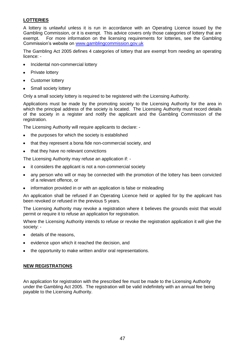#### **LOTTERIES**

A lottery is unlawful unless it is run in accordance with an Operating Licence issued by the Gambling Commission, or it is exempt. This advice covers only those categories of lottery that are exempt. For more information on the licensing requirements for lotteries, see the Gambling Commission"s website on [www.gamblingcommission.gov.uk](http://www.gamblingcommission.gov.uk/)

The Gambling Act 2005 defines 4 categories of lottery that are exempt from needing an operating licence: -

- Incidental non-commercial lottery  $\bullet$
- Private lottery  $\bullet$
- Customer lottery
- Small society lottery

Only a small society lottery is required to be registered with the Licensing Authority.

Applications must be made by the promoting society to the Licensing Authority for the area in which the principal address of the society is located. The Licensing Authority must record details of the society in a register and notify the applicant and the Gambling Commission of the registration.

The Licensing Authority will require applicants to declare: -

- the purposes for which the society is established
- that they represent a bona fide non-commercial society, and
- that they have no relevant convictions

The Licensing Authority may refuse an application if: -

- it considers the applicant is not a non-commercial society
- any person who will or may be connected with the promotion of the lottery has been convicted  $\bullet$ of a relevant offence, or
- information provided in or with an application is false or misleading  $\bullet$

An application shall be refused if an Operating Licence held or applied for by the applicant has been revoked or refused in the previous 5 years.

The Licensing Authority may revoke a registration where it believes the grounds exist that would permit or require it to refuse an application for registration.

Where the Licensing Authority intends to refuse or revoke the registration application it will give the society: -

- details of the reasons,  $\bullet$
- evidence upon which it reached the decision, and
- the opportunity to make written and/or oral representations.

#### **NEW REGISTRATIONS**

An application for registration with the prescribed fee must be made to the Licensing Authority under the Gambling Act 2005. The registration will be valid indefinitely with an annual fee being payable to the Licensing Authority.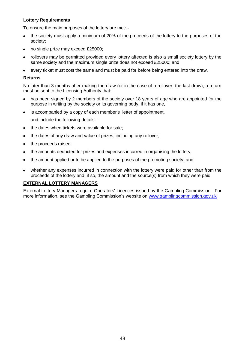#### **Lottery Requirements**

To ensure the main purposes of the lottery are met: -

- the society must apply a minimum of 20% of the proceeds of the lottery to the purposes of the society;
- no single prize may exceed £25000;  $\bullet$
- rollovers may be permitted provided every lottery affected is also a small society lottery by the  $\bullet$ same society and the maximum single prize does not exceed £25000; and
- every ticket must cost the same and must be paid for before being entered into the draw.

#### **Returns**

No later than 3 months after making the draw (or in the case of a rollover, the last draw), a return must be sent to the Licensing Authority that: -

- has been signed by 2 members of the society over 18 years of age who are appointed for the purpose in writing by the society or its governing body, if it has one,
- is accompanied by a copy of each member's letter of appointment,  $\bullet$

and include the following details: -

- the dates when tickets were available for sale;  $\bullet$
- the dates of any draw and value of prizes, including any rollover;  $\bullet$
- the proceeds raised;  $\bullet$
- the amounts deducted for prizes and expenses incurred in organising the lottery;  $\bullet$
- the amount applied or to be applied to the purposes of the promoting society; and  $\bullet$
- whether any expenses incurred in connection with the lottery were paid for other than from the proceeds of the lottery and, if so, the amount and the source(s) from which they were paid.

#### **EXTERNAL LOTTERY MANAGERS**

External Lottery Managers require Operators' Licences issued by the Gambling Commission. For more information, see the Gambling Commission's website on [www.gamblingcommission.gov.uk](http://www.gamblingcommission.gov.uk/)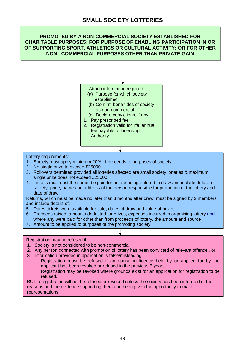#### **PROMOTED BY A NON-COMMERCIAL SOCIETY ESTABLISHED FOR CHARITABLE PURPOSES; FOR PURPOSE OF ENABLING PARTICIPATION IN OR OF SUPPORTING SPORT, ATHLETICS OR CULTURAL ACTIVITY; OR FOR OTHER NON –COMMERCIAL PURPOSES OTHER THAN PRIVATE GAIN**



#### Lottery requirements: -

- 1. Society must apply minimum 20% of proceeds to purposes of society
- 2. No single prize to exceed £25000
- 3. Rollovers permitted provided all lotteries affected are small society lotteries & maximum single prize does not exceed £25000
- 4. Tickets must cost the same, be paid for before being entered in draw and include details of society, price, name and address of the person responsible for promotion of the lottery and date of draw

Returns, which must be made no later than 3 months after draw, must be signed by 2 members and include details of: -

- 5. Dates tickets were available for sale, dates of draw and value of prizes
- 6. Proceeds raised, amounts deducted for prizes, expenses incurred in organising lottery and where any were paid for other than from proceeds of lottery, the amount and source
- 7. Amount to be applied to purposes of the promoting society

#### Registration may be refused if: -

- 1. Society is not considered to be non-commercial
- 2. Any person connected with promotion of lottery has been convicted of relevant offence , or
- 3. Information provided in application is false/misleading

Registration must be refused if an operating licence held by or applied for by the applicant has been revoked or refused in the previous 5 years

Registration may be revoked where grounds exist for an application for registration to be refused.

BUT a registration will not be refused or revoked unless the society has been informed of the reasons and the evidence supporting them and been given the opportunity to make representations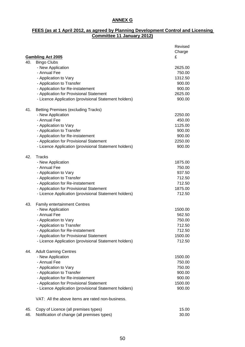#### **ANNEX G**

#### **FEES (as at 1 April 2012, as agreed by Planning Development Control and Licensing Committee 11 January 2012)**

|     | <b>Gambling Act 2005</b>                              | Revised<br>Charge<br>£ |
|-----|-------------------------------------------------------|------------------------|
| 40. | <b>Bingo Clubs</b>                                    |                        |
|     | - New Application                                     | 2625.00                |
|     | - Annual Fee                                          | 750.00                 |
|     | - Application to Vary                                 | 1312.50                |
|     | - Application to Transfer                             | 900.00                 |
|     | - Application for Re-instatement                      | 900.00                 |
|     | - Application for Provisional Statement               | 2625.00                |
|     | - Licence Application (provisional Statement holders) | 900.00                 |
| 41. | <b>Betting Premises (excluding Tracks)</b>            |                        |
|     | - New Application                                     | 2250.00                |
|     | - Annual Fee                                          | 450.00                 |
|     | - Application to Vary                                 | 1125.00                |
|     | - Application to Transfer                             | 900.00                 |
|     | - Application for Re-instatement                      | 900.00                 |
|     | - Application for Provisional Statement               | 2250.00                |
|     | - Licence Application (provisional Statement holders) | 900.00                 |
| 42. | <b>Tracks</b>                                         |                        |
|     | - New Application                                     | 1875.00                |
|     | - Annual Fee                                          | 750.00                 |
|     | - Application to Vary                                 | 937.50                 |
|     | - Application to Transfer                             | 712.50                 |
|     | - Application for Re-instatement                      | 712.50                 |
|     | - Application for Provisional Statement               | 1875.00                |
|     | - Licence Application (provisional Statement holders) | 712.50                 |
| 43. | <b>Family entertainment Centres</b>                   |                        |
|     | - New Application                                     | 1500.00                |
|     | - Annual Fee                                          | 562.50                 |
|     | - Application to Vary                                 | 750.00                 |
|     | - Application to Transfer                             | 712.50                 |
|     | - Application for Re-instatement                      | 712.50                 |
|     | - Application for Provisional Statement               | 1500.00                |
|     | - Licence Application (provisional Statement holders) | 712.50                 |
| 44. | <b>Adult Gaming Centres</b>                           |                        |
|     | - New Application                                     | 1500.00                |
|     | - Annual Fee                                          | 750.00                 |
|     | - Application to Vary                                 | 750.00                 |
|     | - Application to Transfer                             | 900.00                 |
|     | - Application for Re-instatement                      | 900.00                 |
|     | - Application for Provisional Statement               | 1500.00                |
|     | - Licence Application (provisional Statement holders) | 900.00                 |
|     | VAT: All the above items are rated non-business.      |                        |
| 45. | Copy of Licence (all premises types)                  | 15.00                  |
| 46. | Notification of change (all premises types)           | 30.00                  |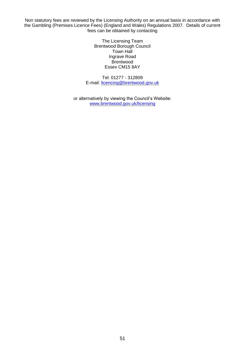Non statutory fees are reviewed by the Licensing Authority on an annual basis in accordance with the Gambling (Premises Licence Fees) (England and Wales) Regulations 2007. Details of current fees can be obtained by contacting

> The Licensing Team Brentwood Borough Council Town Hall Ingrave Road **Brentwood** Essex CM15 8AY

Tel: 01277 - 312809 E-mail: [licencing@brentwood.gov.uk](mailto:licencing@brentwood.gov.uk)

or alternatively by viewing the Council's Website: [www.brentwood.gov.uk/licensing](http://www.brentwood.gov.uk/licensing)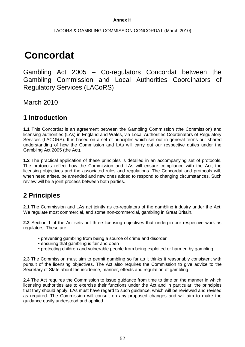#### **Annex H**

#### LACORS & GAMBLING COMMISSION CONCORDAT (March 2010)

# **Concordat**

Gambling Act 2005 – Co-regulators Concordat between the Gambling Commission and Local Authorities Coordinators of Regulatory Services (LACoRS)

March 2010

## **1 Introduction**

**1.1** This Concordat is an agreement between the Gambling Commission (the Commission) and licensing authorities (LAs) in England and Wales, via Local Authorities Coordinators of Regulatory Services (LACORS). It is based on a set of principles which set out in general terms our shared understanding of how the Commission and LAs will carry out our respective duties under the Gambling Act 2005 (the Act).

**1.2** The practical application of these principles is detailed in an accompanying set of protocols. The protocols reflect how the Commission and LAs will ensure compliance with the Act, the licensing objectives and the associated rules and regulations. The Concordat and protocols will, when need arises, be amended and new ones added to respond to changing circumstances. Such review will be a joint process between both parties.

## **2 Principles**

**2.1** The Commission and LAs act jointly as co-regulators of the gambling industry under the Act. We regulate most commercial, and some non-commercial, gambling in Great Britain.

**2.2** Section 1 of the Act sets out three licensing objectives that underpin our respective work as regulators. These are:

- preventing gambling from being a source of crime and disorder
- ensuring that gambling is fair and open
- protecting children and vulnerable people from being exploited or harmed by gambling.

**2.3** The Commission must aim to permit gambling so far as it thinks it reasonably consistent with pursuit of the licensing objectives. The Act also requires the Commission to give advice to the Secretary of State about the incidence, manner, effects and regulation of gambling.

**2.4** The Act requires the Commission to issue guidance from time to time on the manner in which licensing authorities are to exercise their functions under the Act and in particular, the principles that they should apply. LAs must have regard to such guidance, which will be reviewed and revised as required. The Commission will consult on any proposed changes and will aim to make the guidance easily understood and applied.